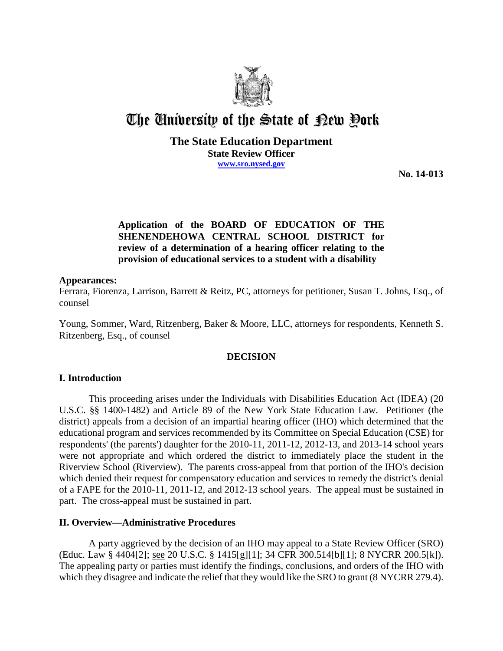

# The University of the State of Pew Pork

## **The State Education Department State Review Officer www.sro.nysed.gov**

**No. 14-013** 

# **Application of the BOARD OF EDUCATION OF THE SHENENDEHOWA CENTRAL SCHOOL DISTRICT for review of a determination of a hearing officer relating to the provision of educational services to a student with a disability**

#### **Appearances:**

Ferrara, Fiorenza, Larrison, Barrett & Reitz, PC, attorneys for petitioner, Susan T. Johns, Esq., of counsel

Young, Sommer, Ward, Ritzenberg, Baker & Moore, LLC, attorneys for respondents, Kenneth S. Ritzenberg, Esq., of counsel

## **DECISION**

## **I. Introduction**

This proceeding arises under the Individuals with Disabilities Education Act (IDEA) (20 U.S.C. §§ 1400-1482) and Article 89 of the New York State Education Law. Petitioner (the district) appeals from a decision of an impartial hearing officer (IHO) which determined that the educational program and services recommended by its Committee on Special Education (CSE) for respondents' (the parents') daughter for the 2010-11, 2011-12, 2012-13, and 2013-14 school years were not appropriate and which ordered the district to immediately place the student in the Riverview School (Riverview). The parents cross-appeal from that portion of the IHO's decision which denied their request for compensatory education and services to remedy the district's denial of a FAPE for the 2010-11, 2011-12, and 2012-13 school years. The appeal must be sustained in part. The cross-appeal must be sustained in part.

## **II. Overview—Administrative Procedures**

A party aggrieved by the decision of an IHO may appeal to a State Review Officer (SRO) (Educ. Law § 4404[2]; see 20 U.S.C. § 1415[g][1]; 34 CFR 300.514[b][1]; 8 NYCRR 200.5[k]). The appealing party or parties must identify the findings, conclusions, and orders of the IHO with which they disagree and indicate the relief that they would like the SRO to grant (8 NYCRR 279.4).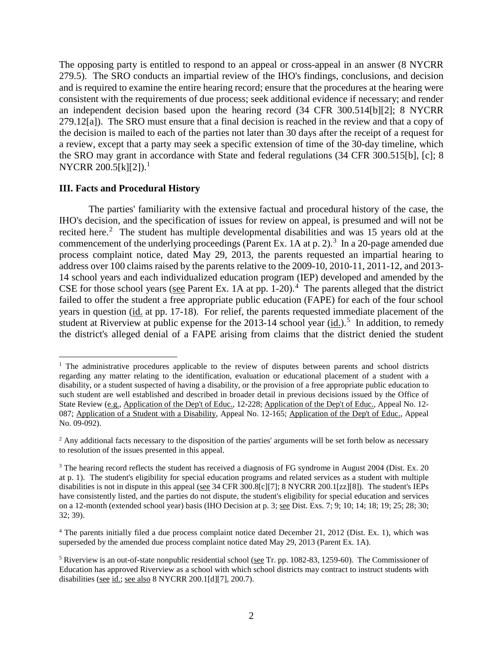The opposing party is entitled to respond to an appeal or cross-appeal in an answer (8 NYCRR 279.5). The SRO conducts an impartial review of the IHO's findings, conclusions, and decision and is required to examine the entire hearing record; ensure that the procedures at the hearing were consistent with the requirements of due process; seek additional evidence if necessary; and render an independent decision based upon the hearing record (34 CFR 300.514[b][2]; 8 NYCRR 279.12[a]). The SRO must ensure that a final decision is reached in the review and that a copy of the decision is mailed to each of the parties not later than 30 days after the receipt of a request for a review, except that a party may seek a specific extension of time of the 30-day timeline, which the SRO may grant in accordance with State and federal regulations (34 CFR 300.515[b], [c]; 8 NYCRR 200.5[k][2]).<sup>1</sup>

#### **III. Facts and Procedural History**

 $\overline{a}$ 

The parties' familiarity with the extensive factual and procedural history of the case, the IHO's decision, and the specification of issues for review on appeal, is presumed and will not be recited here.<sup>2</sup> The student has multiple developmental disabilities and was 15 years old at the commencement of the underlying proceedings (Parent Ex. 1A at p. 2).<sup>3</sup> In a 20-page amended due process complaint notice, dated May 29, 2013, the parents requested an impartial hearing to address over 100 claims raised by the parents relative to the 2009-10, 2010-11, 2011-12, and 2013- 14 school years and each individualized education program (IEP) developed and amended by the CSE for those school years (see Parent Ex. 1A at pp.  $1-20$ ).<sup>4</sup> The parents alleged that the district failed to offer the student a free appropriate public education (FAPE) for each of the four school years in question (id. at pp. 17-18). For relief, the parents requested immediate placement of the student at Riverview at public expense for the  $2013-14$  school year  $(id.)$ <sup>5</sup> In addition, to remedy the district's alleged denial of a FAPE arising from claims that the district denied the student

<sup>&</sup>lt;sup>1</sup> The administrative procedures applicable to the review of disputes between parents and school districts regarding any matter relating to the identification, evaluation or educational placement of a student with a disability, or a student suspected of having a disability, or the provision of a free appropriate public education to such student are well established and described in broader detail in previous decisions issued by the Office of State Review (e.g., Application of the Dep't of Educ., 12-228; Application of the Dep't of Educ., Appeal No. 12- 087; Application of a Student with a Disability, Appeal No. 12-165; Application of the Dep't of Educ., Appeal No. 09-092).

 $<sup>2</sup>$  Any additional facts necessary to the disposition of the parties' arguments will be set forth below as necessary</sup> to resolution of the issues presented in this appeal.

<sup>&</sup>lt;sup>3</sup> The hearing record reflects the student has received a diagnosis of FG syndrome in August 2004 (Dist. Ex. 20) at p. 1). The student's eligibility for special education programs and related services as a student with multiple disabilities is not in dispute in this appeal (see 34 CFR 300.8[c][7]; 8 NYCRR 200.1[zz][8]). The student's IEPs have consistently listed, and the parties do not dispute, the student's eligibility for special education and services on a 12-month (extended school year) basis (IHO Decision at p. 3; see Dist. Exs. 7; 9; 10; 14; 18; 19; 25; 28; 30; 32; 39).

<sup>4</sup> The parents initially filed a due process complaint notice dated December 21, 2012 (Dist. Ex. 1), which was superseded by the amended due process complaint notice dated May 29, 2013 (Parent Ex. 1A).

<sup>&</sup>lt;sup>5</sup> Riverview is an out-of-state nonpublic residential school (see Tr. pp. 1082-83, 1259-60). The Commissioner of Education has approved Riverview as a school with which school districts may contract to instruct students with disabilities (see id.; see also 8 NYCRR 200.1[d][7], 200.7).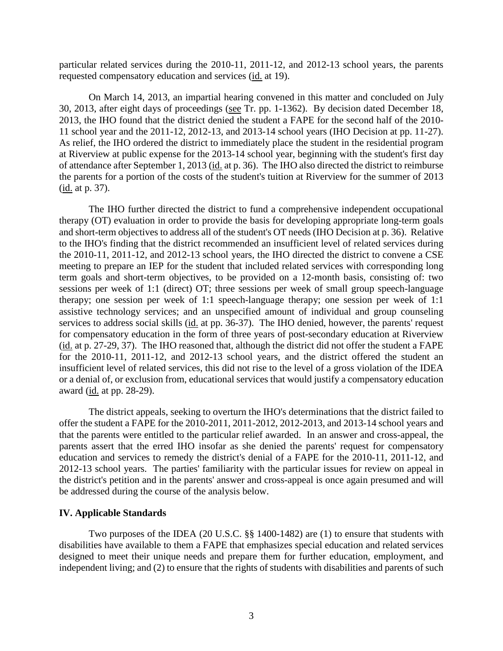particular related services during the 2010-11, 2011-12, and 2012-13 school years, the parents requested compensatory education and services (id. at 19).

On March 14, 2013, an impartial hearing convened in this matter and concluded on July 30, 2013, after eight days of proceedings (see Tr. pp. 1-1362). By decision dated December 18, 2013, the IHO found that the district denied the student a FAPE for the second half of the 2010- 11 school year and the 2011-12, 2012-13, and 2013-14 school years (IHO Decision at pp. 11-27). As relief, the IHO ordered the district to immediately place the student in the residential program at Riverview at public expense for the 2013-14 school year, beginning with the student's first day of attendance after September 1, 2013 (id. at p. 36). The IHO also directed the district to reimburse the parents for a portion of the costs of the student's tuition at Riverview for the summer of 2013 (id. at p. 37).

The IHO further directed the district to fund a comprehensive independent occupational therapy (OT) evaluation in order to provide the basis for developing appropriate long-term goals and short-term objectives to address all of the student's OT needs (IHO Decision at p. 36). Relative to the IHO's finding that the district recommended an insufficient level of related services during the 2010-11, 2011-12, and 2012-13 school years, the IHO directed the district to convene a CSE meeting to prepare an IEP for the student that included related services with corresponding long term goals and short-term objectives, to be provided on a 12-month basis, consisting of: two sessions per week of 1:1 (direct) OT; three sessions per week of small group speech-language therapy; one session per week of 1:1 speech-language therapy; one session per week of 1:1 assistive technology services; and an unspecified amount of individual and group counseling services to address social skills (id. at pp. 36-37). The IHO denied, however, the parents' request for compensatory education in the form of three years of post-secondary education at Riverview (id. at p. 27-29, 37). The IHO reasoned that, although the district did not offer the student a FAPE for the 2010-11, 2011-12, and 2012-13 school years, and the district offered the student an insufficient level of related services, this did not rise to the level of a gross violation of the IDEA or a denial of, or exclusion from, educational services that would justify a compensatory education award (id. at pp. 28-29).

The district appeals, seeking to overturn the IHO's determinations that the district failed to offer the student a FAPE for the 2010-2011, 2011-2012, 2012-2013, and 2013-14 school years and that the parents were entitled to the particular relief awarded. In an answer and cross-appeal, the parents assert that the erred IHO insofar as she denied the parents' request for compensatory education and services to remedy the district's denial of a FAPE for the 2010-11, 2011-12, and 2012-13 school years. The parties' familiarity with the particular issues for review on appeal in the district's petition and in the parents' answer and cross-appeal is once again presumed and will be addressed during the course of the analysis below.

#### **IV. Applicable Standards**

Two purposes of the IDEA (20 U.S.C. §§ 1400-1482) are (1) to ensure that students with disabilities have available to them a FAPE that emphasizes special education and related services designed to meet their unique needs and prepare them for further education, employment, and independent living; and (2) to ensure that the rights of students with disabilities and parents of such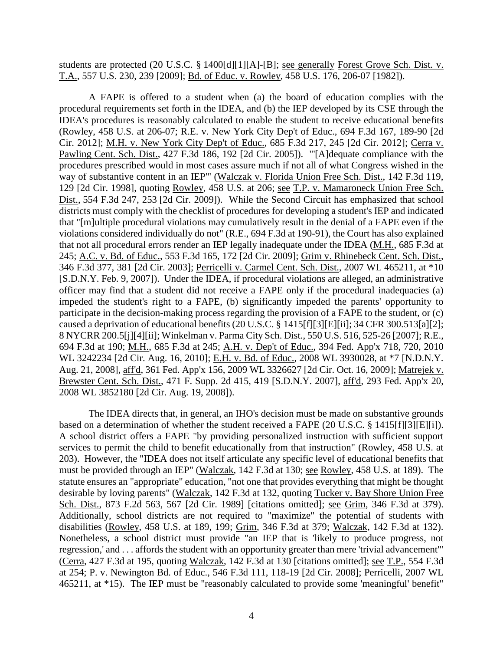students are protected (20 U.S.C. § 1400[d][1][A]-[B]; see generally Forest Grove Sch. Dist. v. T.A., 557 U.S. 230, 239 [2009]; Bd. of Educ. v. Rowley, 458 U.S. 176, 206-07 [1982]).

A FAPE is offered to a student when (a) the board of education complies with the procedural requirements set forth in the IDEA, and (b) the IEP developed by its CSE through the IDEA's procedures is reasonably calculated to enable the student to receive educational benefits (Rowley, 458 U.S. at 206-07; R.E. v. New York City Dep't of Educ., 694 F.3d 167, 189-90 [2d Cir. 2012]; M.H. v. New York City Dep't of Educ., 685 F.3d 217, 245 [2d Cir. 2012]; Cerra v. Pawling Cent. Sch. Dist., 427 F.3d 186, 192 [2d Cir. 2005]). "'[A]dequate compliance with the procedures prescribed would in most cases assure much if not all of what Congress wished in the way of substantive content in an IEP'" (Walczak v. Florida Union Free Sch. Dist., 142 F.3d 119, 129 [2d Cir. 1998], quoting Rowley, 458 U.S. at 206; see T.P. v. Mamaroneck Union Free Sch. Dist., 554 F.3d 247, 253 [2d Cir. 2009]). While the Second Circuit has emphasized that school districts must comply with the checklist of procedures for developing a student's IEP and indicated that "[m]ultiple procedural violations may cumulatively result in the denial of a FAPE even if the violations considered individually do not" (R.E., 694 F.3d at 190-91), the Court has also explained that not all procedural errors render an IEP legally inadequate under the IDEA (M.H., 685 F.3d at 245; A.C. v. Bd. of Educ., 553 F.3d 165, 172 [2d Cir. 2009]; Grim v. Rhinebeck Cent. Sch. Dist., 346 F.3d 377, 381 [2d Cir. 2003]; Perricelli v. Carmel Cent. Sch. Dist., 2007 WL 465211, at \*10 [S.D.N.Y. Feb. 9, 2007]). Under the IDEA, if procedural violations are alleged, an administrative officer may find that a student did not receive a FAPE only if the procedural inadequacies (a) impeded the student's right to a FAPE, (b) significantly impeded the parents' opportunity to participate in the decision-making process regarding the provision of a FAPE to the student, or (c) caused a deprivation of educational benefits (20 U.S.C. § 1415[f][3][E][ii]; 34 CFR 300.513[a][2]; 8 NYCRR 200.5[j][4][ii]; Winkelman v. Parma City Sch. Dist., 550 U.S. 516, 525-26 [2007]; R.E., 694 F.3d at 190; M.H., 685 F.3d at 245; A.H. v. Dep't of Educ., 394 Fed. App'x 718, 720, 2010 WL 3242234 [2d Cir. Aug. 16, 2010]; E.H. v. Bd. of Educ., 2008 WL 3930028, at \*7 [N.D.N.Y. Aug. 21, 2008], aff'd, 361 Fed. App'x 156, 2009 WL 3326627 [2d Cir. Oct. 16, 2009]; Matrejek v. Brewster Cent. Sch. Dist., 471 F. Supp. 2d 415, 419 [S.D.N.Y. 2007], aff'd, 293 Fed. App'x 20, 2008 WL 3852180 [2d Cir. Aug. 19, 2008]).

The IDEA directs that, in general, an IHO's decision must be made on substantive grounds based on a determination of whether the student received a FAPE (20 U.S.C. § 1415[f][3][E][i]). A school district offers a FAPE "by providing personalized instruction with sufficient support services to permit the child to benefit educationally from that instruction" (Rowley, 458 U.S. at 203). However, the "IDEA does not itself articulate any specific level of educational benefits that must be provided through an IEP" (Walczak, 142 F.3d at 130; see Rowley, 458 U.S. at 189). The statute ensures an "appropriate" education, "not one that provides everything that might be thought desirable by loving parents" (Walczak, 142 F.3d at 132, quoting Tucker v. Bay Shore Union Free Sch. Dist., 873 F.2d 563, 567 [2d Cir. 1989] [citations omitted]; see Grim, 346 F.3d at 379). Additionally, school districts are not required to "maximize" the potential of students with disabilities (Rowley, 458 U.S. at 189, 199; Grim, 346 F.3d at 379; Walczak, 142 F.3d at 132). Nonetheless, a school district must provide "an IEP that is 'likely to produce progress, not regression,' and . . . affords the student with an opportunity greater than mere 'trivial advancement'" (Cerra, 427 F.3d at 195, quoting Walczak, 142 F.3d at 130 [citations omitted]; see T.P., 554 F.3d at 254; P. v. Newington Bd. of Educ., 546 F.3d 111, 118-19 [2d Cir. 2008]; Perricelli, 2007 WL 465211, at \*15). The IEP must be "reasonably calculated to provide some 'meaningful' benefit"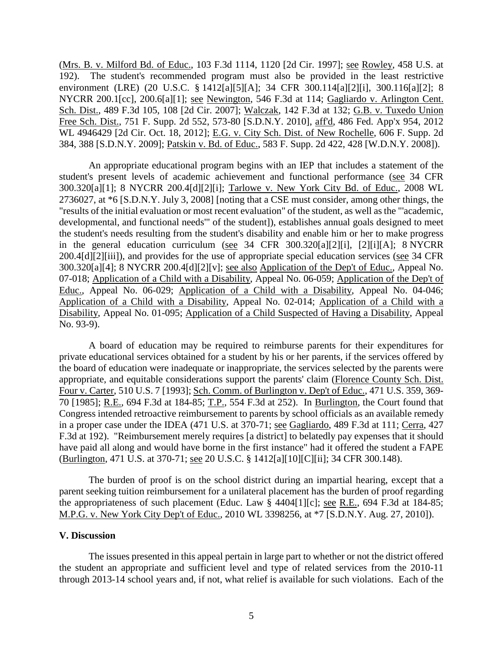(Mrs. B. v. Milford Bd. of Educ., 103 F.3d 1114, 1120 [2d Cir. 1997]; see Rowley, 458 U.S. at 192). The student's recommended program must also be provided in the least restrictive environment (LRE) (20 U.S.C. § 1412[a][5][A]; 34 CFR 300.114[a][2][i], 300.116[a][2]; 8 NYCRR 200.1[cc], 200.6[a][1]; see Newington, 546 F.3d at 114; Gagliardo v. Arlington Cent. Sch. Dist., 489 F.3d 105, 108 [2d Cir. 2007]; Walczak, 142 F.3d at 132; G.B. v. Tuxedo Union Free Sch. Dist., 751 F. Supp. 2d 552, 573-80 [S.D.N.Y. 2010], aff'd, 486 Fed. App'x 954, 2012 WL 4946429 [2d Cir. Oct. 18, 2012]; E.G. v. City Sch. Dist. of New Rochelle, 606 F. Supp. 2d 384, 388 [S.D.N.Y. 2009]; Patskin v. Bd. of Educ., 583 F. Supp. 2d 422, 428 [W.D.N.Y. 2008]).

An appropriate educational program begins with an IEP that includes a statement of the student's present levels of academic achievement and functional performance (see 34 CFR 300.320[a][1]; 8 NYCRR 200.4[d][2][i]; Tarlowe v. New York City Bd. of Educ., 2008 WL 2736027, at \*6 [S.D.N.Y. July 3, 2008] [noting that a CSE must consider, among other things, the "results of the initial evaluation or most recent evaluation" of the student, as well as the "'academic, developmental, and functional needs'" of the student]), establishes annual goals designed to meet the student's needs resulting from the student's disability and enable him or her to make progress in the general education curriculum (see 34 CFR 300.320[a][2][i], [2][i][A]; 8 NYCRR 200.4[d][2][iii]), and provides for the use of appropriate special education services (see 34 CFR 300.320[a][4]; 8 NYCRR 200.4[d][2][v]; see also Application of the Dep't of Educ., Appeal No. 07-018; Application of a Child with a Disability, Appeal No. 06-059; Application of the Dep't of Educ., Appeal No. 06-029; Application of a Child with a Disability, Appeal No. 04-046; Application of a Child with a Disability, Appeal No. 02-014; Application of a Child with a Disability, Appeal No. 01-095; Application of a Child Suspected of Having a Disability, Appeal No. 93-9).

A board of education may be required to reimburse parents for their expenditures for private educational services obtained for a student by his or her parents, if the services offered by the board of education were inadequate or inappropriate, the services selected by the parents were appropriate, and equitable considerations support the parents' claim (Florence County Sch. Dist. Four v. Carter, 510 U.S. 7 [1993]; Sch. Comm. of Burlington v. Dep't of Educ., 471 U.S. 359, 369- 70 [1985]; R.E., 694 F.3d at 184-85; T.P., 554 F.3d at 252). In Burlington, the Court found that Congress intended retroactive reimbursement to parents by school officials as an available remedy in a proper case under the IDEA (471 U.S. at 370-71; see Gagliardo, 489 F.3d at 111; Cerra, 427 F.3d at 192). "Reimbursement merely requires [a district] to belatedly pay expenses that it should have paid all along and would have borne in the first instance" had it offered the student a FAPE (Burlington, 471 U.S. at 370-71; see 20 U.S.C. § 1412[a][10][C][ii]; 34 CFR 300.148).

The burden of proof is on the school district during an impartial hearing, except that a parent seeking tuition reimbursement for a unilateral placement has the burden of proof regarding the appropriateness of such placement (Educ. Law § 4404[1][c]; see R.E., 694 F.3d at 184-85; M.P.G. v. New York City Dep't of Educ., 2010 WL 3398256, at \*7 [S.D.N.Y. Aug. 27, 2010]).

#### **V. Discussion**

The issues presented in this appeal pertain in large part to whether or not the district offered the student an appropriate and sufficient level and type of related services from the 2010-11 through 2013-14 school years and, if not, what relief is available for such violations. Each of the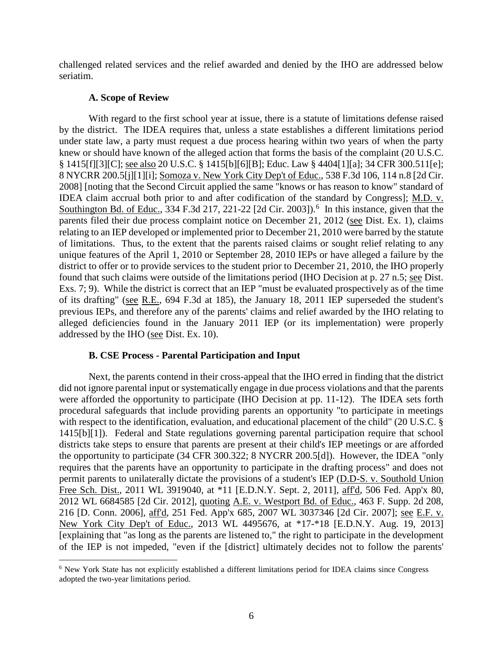challenged related services and the relief awarded and denied by the IHO are addressed below seriatim.

## **A. Scope of Review**

With regard to the first school year at issue, there is a statute of limitations defense raised by the district. The IDEA requires that, unless a state establishes a different limitations period under state law, a party must request a due process hearing within two years of when the party knew or should have known of the alleged action that forms the basis of the complaint (20 U.S.C. § 1415[f][3][C]; see also 20 U.S.C. § 1415[b][6][B]; Educ. Law § 4404[1][a]; 34 CFR 300.511[e]; 8 NYCRR 200.5[j][1][i]; Somoza v. New York City Dep't of Educ., 538 F.3d 106, 114 n.8 [2d Cir. 2008] [noting that the Second Circuit applied the same "knows or has reason to know" standard of IDEA claim accrual both prior to and after codification of the standard by Congress]; M.D. v. Southington Bd. of Educ., 334 F.3d 217, 221-22 [2d Cir. 2003]).<sup>6</sup> In this instance, given that the parents filed their due process complaint notice on December 21, 2012 (see Dist. Ex. 1), claims relating to an IEP developed or implemented prior to December 21, 2010 were barred by the statute of limitations. Thus, to the extent that the parents raised claims or sought relief relating to any unique features of the April 1, 2010 or September 28, 2010 IEPs or have alleged a failure by the district to offer or to provide services to the student prior to December 21, 2010, the IHO properly found that such claims were outside of the limitations period (IHO Decision at p. 27 n.5; see Dist. Exs. 7; 9). While the district is correct that an IEP "must be evaluated prospectively as of the time of its drafting" (see R.E., 694 F.3d at 185), the January 18, 2011 IEP superseded the student's previous IEPs, and therefore any of the parents' claims and relief awarded by the IHO relating to alleged deficiencies found in the January 2011 IEP (or its implementation) were properly addressed by the IHO (see Dist. Ex. 10).

## **B. CSE Process - Parental Participation and Input**

Next, the parents contend in their cross-appeal that the IHO erred in finding that the district did not ignore parental input or systematically engage in due process violations and that the parents were afforded the opportunity to participate (IHO Decision at pp. 11-12). The IDEA sets forth procedural safeguards that include providing parents an opportunity "to participate in meetings with respect to the identification, evaluation, and educational placement of the child" (20 U.S.C. § 1415[b][1]). Federal and State regulations governing parental participation require that school districts take steps to ensure that parents are present at their child's IEP meetings or are afforded the opportunity to participate (34 CFR 300.322; 8 NYCRR 200.5[d]). However, the IDEA "only requires that the parents have an opportunity to participate in the drafting process" and does not permit parents to unilaterally dictate the provisions of a student's IEP (D.D-S. v. Southold Union Free Sch. Dist., 2011 WL 3919040, at \*11 [E.D.N.Y. Sept. 2, 2011], aff'd, 506 Fed. App'x 80, 2012 WL 6684585 [2d Cir. 2012], quoting A.E. v. Westport Bd. of Educ., 463 F. Supp. 2d 208, 216 [D. Conn. 2006], aff'd, 251 Fed. App'x 685, 2007 WL 3037346 [2d Cir. 2007]; see E.F. v. New York City Dep't of Educ., 2013 WL 4495676, at \*17-\*18 [E.D.N.Y. Aug. 19, 2013] [explaining that "as long as the parents are listened to," the right to participate in the development of the IEP is not impeded, "even if the [district] ultimately decides not to follow the parents'

 <sup>6</sup> New York State has not explicitly established a different limitations period for IDEA claims since Congress adopted the two-year limitations period.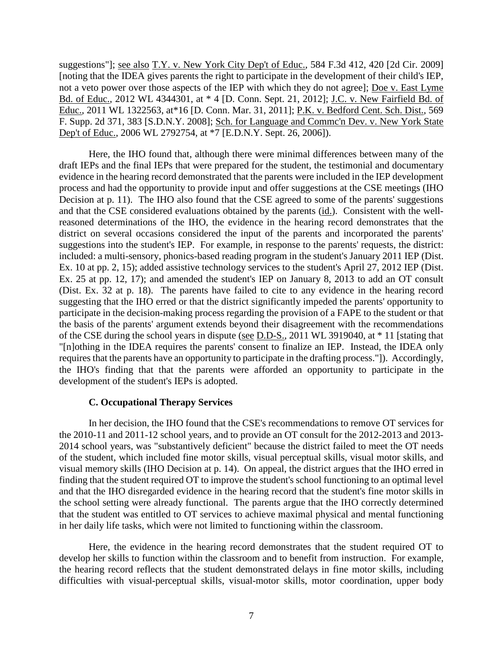suggestions"]; see also T.Y. v. New York City Dep't of Educ., 584 F.3d 412, 420 [2d Cir. 2009] [noting that the IDEA gives parents the right to participate in the development of their child's IEP, not a veto power over those aspects of the IEP with which they do not agree]; Doe v. East Lyme Bd. of Educ., 2012 WL 4344301, at \* 4 [D. Conn. Sept. 21, 2012]; J.C. v. New Fairfield Bd. of Educ., 2011 WL 1322563, at\*16 [D. Conn. Mar. 31, 2011]; P.K. v. Bedford Cent. Sch. Dist., 569 F. Supp. 2d 371, 383 [S.D.N.Y. 2008]; Sch. for Language and Commc'n Dev. v. New York State Dep't of Educ., 2006 WL 2792754, at \*7 [E.D.N.Y. Sept. 26, 2006]).

Here, the IHO found that, although there were minimal differences between many of the draft IEPs and the final IEPs that were prepared for the student, the testimonial and documentary evidence in the hearing record demonstrated that the parents were included in the IEP development process and had the opportunity to provide input and offer suggestions at the CSE meetings (IHO Decision at p. 11). The IHO also found that the CSE agreed to some of the parents' suggestions and that the CSE considered evaluations obtained by the parents (id.). Consistent with the wellreasoned determinations of the IHO, the evidence in the hearing record demonstrates that the district on several occasions considered the input of the parents and incorporated the parents' suggestions into the student's IEP. For example, in response to the parents' requests, the district: included: a multi-sensory, phonics-based reading program in the student's January 2011 IEP (Dist. Ex. 10 at pp. 2, 15); added assistive technology services to the student's April 27, 2012 IEP (Dist. Ex. 25 at pp. 12, 17); and amended the student's IEP on January 8, 2013 to add an OT consult (Dist. Ex. 32 at p. 18). The parents have failed to cite to any evidence in the hearing record suggesting that the IHO erred or that the district significantly impeded the parents' opportunity to participate in the decision-making process regarding the provision of a FAPE to the student or that the basis of the parents' argument extends beyond their disagreement with the recommendations of the CSE during the school years in dispute (see D.D-S., 2011 WL 3919040, at \* 11 [stating that "[n]othing in the IDEA requires the parents' consent to finalize an IEP. Instead, the IDEA only requires that the parents have an opportunity to participate in the drafting process."]). Accordingly, the IHO's finding that that the parents were afforded an opportunity to participate in the development of the student's IEPs is adopted.

#### **C. Occupational Therapy Services**

In her decision, the IHO found that the CSE's recommendations to remove OT services for the 2010-11 and 2011-12 school years, and to provide an OT consult for the 2012-2013 and 2013- 2014 school years, was "substantively deficient" because the district failed to meet the OT needs of the student, which included fine motor skills, visual perceptual skills, visual motor skills, and visual memory skills (IHO Decision at p. 14). On appeal, the district argues that the IHO erred in finding that the student required OT to improve the student's school functioning to an optimal level and that the IHO disregarded evidence in the hearing record that the student's fine motor skills in the school setting were already functional. The parents argue that the IHO correctly determined that the student was entitled to OT services to achieve maximal physical and mental functioning in her daily life tasks, which were not limited to functioning within the classroom.

Here, the evidence in the hearing record demonstrates that the student required OT to develop her skills to function within the classroom and to benefit from instruction. For example, the hearing record reflects that the student demonstrated delays in fine motor skills, including difficulties with visual-perceptual skills, visual-motor skills, motor coordination, upper body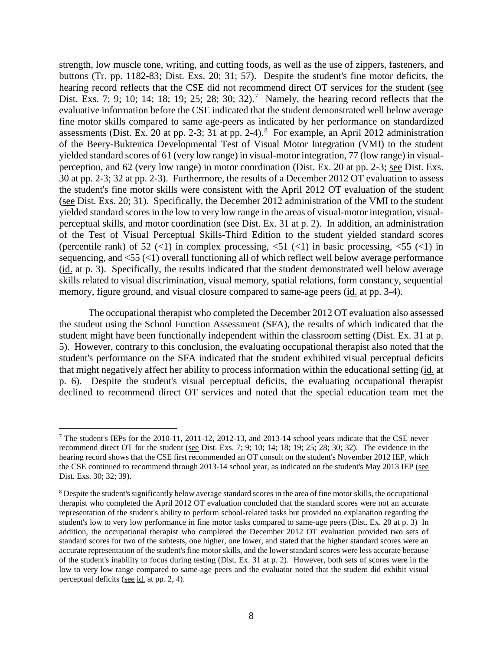strength, low muscle tone, writing, and cutting foods, as well as the use of zippers, fasteners, and buttons (Tr. pp. 1182-83; Dist. Exs. 20; 31; 57). Despite the student's fine motor deficits, the hearing record reflects that the CSE did not recommend direct OT services for the student (see Dist. Exs. 7; 9; 10; 14; 18; 19; 25; 28; 30; 32).<sup>7</sup> Namely, the hearing record reflects that the evaluative information before the CSE indicated that the student demonstrated well below average fine motor skills compared to same age-peers as indicated by her performance on standardized assessments (Dist. Ex. 20 at pp. 2-3; 31 at pp. 2-4). <sup>8</sup> For example, an April 2012 administration of the Beery-Buktenica Developmental Test of Visual Motor Integration (VMI) to the student yielded standard scores of 61 (very low range) in visual-motor integration, 77 (low range) in visualperception, and 62 (very low range) in motor coordination (Dist. Ex. 20 at pp. 2-3; see Dist. Exs. 30 at pp. 2-3; 32 at pp. 2-3). Furthermore, the results of a December 2012 OT evaluation to assess the student's fine motor skills were consistent with the April 2012 OT evaluation of the student (see Dist. Exs. 20; 31). Specifically, the December 2012 administration of the VMI to the student yielded standard scores in the low to very low range in the areas of visual-motor integration, visualperceptual skills, and motor coordination (see Dist. Ex. 31 at p. 2). In addition, an administration of the Test of Visual Perceptual Skills-Third Edition to the student yielded standard scores (percentile rank) of 52 (<1) in complex processing,  $\langle 51 \rangle$  (<1) in basic processing,  $\langle 55 \rangle$  (<1) in sequencing, and <55 (<1) overall functioning all of which reflect well below average performance (id. at p. 3). Specifically, the results indicated that the student demonstrated well below average skills related to visual discrimination, visual memory, spatial relations, form constancy, sequential memory, figure ground, and visual closure compared to same-age peers (id. at pp. 3-4).

The occupational therapist who completed the December 2012 OT evaluation also assessed the student using the School Function Assessment (SFA), the results of which indicated that the student might have been functionally independent within the classroom setting (Dist. Ex. 31 at p. 5). However, contrary to this conclusion, the evaluating occupational therapist also noted that the student's performance on the SFA indicated that the student exhibited visual perceptual deficits that might negatively affect her ability to process information within the educational setting (id. at p. 6). Despite the student's visual perceptual deficits, the evaluating occupational therapist declined to recommend direct OT services and noted that the special education team met the

<sup>&</sup>lt;sup>7</sup> The student's IEPs for the 2010-11, 2011-12, 2012-13, and 2013-14 school years indicate that the CSE never recommend direct OT for the student (see Dist. Exs. 7; 9; 10; 14; 18; 19; 25; 28; 30; 32). The evidence in the hearing record shows that the CSE first recommended an OT consult on the student's November 2012 IEP, which the CSE continued to recommend through 2013-14 school year, as indicated on the student's May 2013 IEP (see Dist. Exs. 30; 32; 39).

<sup>&</sup>lt;sup>8</sup> Despite the student's significantly below average standard scores in the area of fine motor skills, the occupational therapist who completed the April 2012 OT evaluation concluded that the standard scores were not an accurate representation of the student's ability to perform school-related tasks but provided no explanation regarding the student's low to very low performance in fine motor tasks compared to same-age peers (Dist. Ex. 20 at p. 3) In addition, the occupational therapist who completed the December 2012 OT evaluation provided two sets of standard scores for two of the subtests, one higher, one lower, and stated that the higher standard scores were an accurate representation of the student's fine motor skills, and the lower standard scores were less accurate because of the student's inability to focus during testing (Dist. Ex. 31 at p. 2). However, both sets of scores were in the low to very low range compared to same-age peers and the evaluator noted that the student did exhibit visual perceptual deficits (see id. at pp. 2, 4).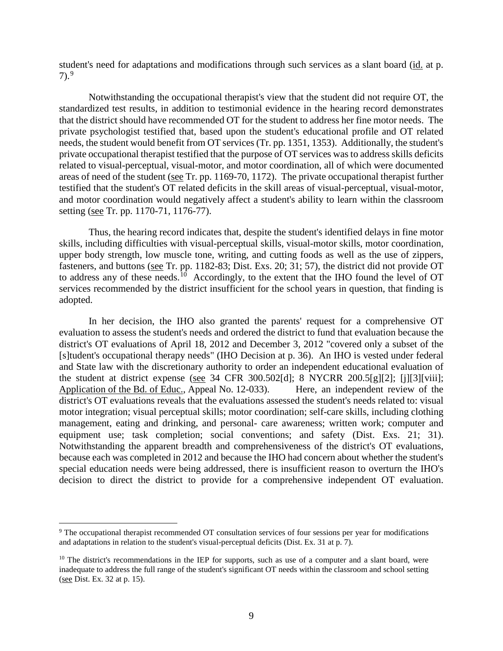student's need for adaptations and modifications through such services as a slant board (id. at p.  $7)$ .<sup>9</sup>

Notwithstanding the occupational therapist's view that the student did not require OT, the standardized test results, in addition to testimonial evidence in the hearing record demonstrates that the district should have recommended OT for the student to address her fine motor needs. The private psychologist testified that, based upon the student's educational profile and OT related needs, the student would benefit from OT services (Tr. pp. 1351, 1353). Additionally, the student's private occupational therapist testified that the purpose of OT services was to address skills deficits related to visual-perceptual, visual-motor, and motor coordination, all of which were documented areas of need of the student (see Tr. pp. 1169-70, 1172). The private occupational therapist further testified that the student's OT related deficits in the skill areas of visual-perceptual, visual-motor, and motor coordination would negatively affect a student's ability to learn within the classroom setting (see Tr. pp. 1170-71, 1176-77).

Thus, the hearing record indicates that, despite the student's identified delays in fine motor skills, including difficulties with visual-perceptual skills, visual-motor skills, motor coordination, upper body strength, low muscle tone, writing, and cutting foods as well as the use of zippers, fasteners, and buttons (see Tr. pp. 1182-83; Dist. Exs. 20; 31; 57), the district did not provide OT to address any of these needs.<sup>10</sup> Accordingly, to the extent that the IHO found the level of OT services recommended by the district insufficient for the school years in question, that finding is adopted.

In her decision, the IHO also granted the parents' request for a comprehensive OT evaluation to assess the student's needs and ordered the district to fund that evaluation because the district's OT evaluations of April 18, 2012 and December 3, 2012 "covered only a subset of the [s]tudent's occupational therapy needs" (IHO Decision at p. 36). An IHO is vested under federal and State law with the discretionary authority to order an independent educational evaluation of the student at district expense (see 34 CFR 300.502[d]; 8 NYCRR 200.5[g][2]; [j][3][viii]; Application of the Bd. of Educ., Appeal No. 12-033). Here, an independent review of the district's OT evaluations reveals that the evaluations assessed the student's needs related to: visual motor integration; visual perceptual skills; motor coordination; self-care skills, including clothing management, eating and drinking, and personal- care awareness; written work; computer and equipment use; task completion; social conventions; and safety (Dist. Exs. 21; 31). Notwithstanding the apparent breadth and comprehensiveness of the district's OT evaluations, because each was completed in 2012 and because the IHO had concern about whether the student's special education needs were being addressed, there is insufficient reason to overturn the IHO's decision to direct the district to provide for a comprehensive independent OT evaluation.

 <sup>9</sup> The occupational therapist recommended OT consultation services of four sessions per year for modifications and adaptations in relation to the student's visual-perceptual deficits (Dist. Ex. 31 at p. 7).

 $10$  The district's recommendations in the IEP for supports, such as use of a computer and a slant board, were inadequate to address the full range of the student's significant OT needs within the classroom and school setting (see Dist. Ex. 32 at p. 15).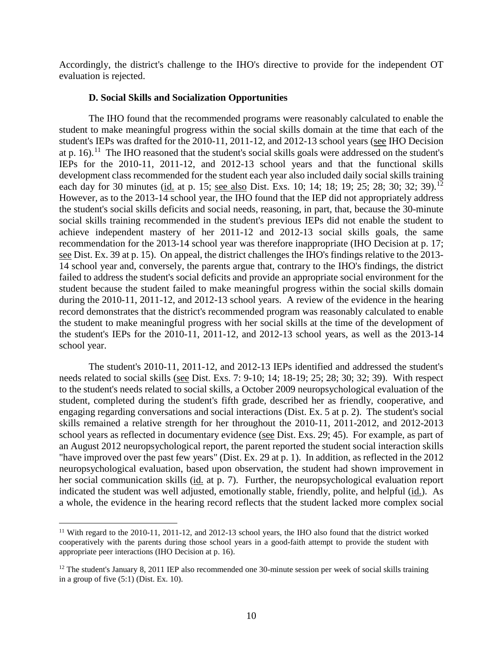Accordingly, the district's challenge to the IHO's directive to provide for the independent OT evaluation is rejected.

#### **D. Social Skills and Socialization Opportunities**

The IHO found that the recommended programs were reasonably calculated to enable the student to make meaningful progress within the social skills domain at the time that each of the student's IEPs was drafted for the 2010-11, 2011-12, and 2012-13 school years (see IHO Decision at p. 16).11 The IHO reasoned that the student's social skills goals were addressed on the student's IEPs for the 2010-11, 2011-12, and 2012-13 school years and that the functional skills development class recommended for the student each year also included daily social skills training each day for 30 minutes (id. at p. 15; see also Dist. Exs. 10; 14; 18; 19; 25; 28; 30; 32; 39).<sup>12</sup> However, as to the 2013-14 school year, the IHO found that the IEP did not appropriately address the student's social skills deficits and social needs, reasoning, in part, that, because the 30-minute social skills training recommended in the student's previous IEPs did not enable the student to achieve independent mastery of her 2011-12 and 2012-13 social skills goals, the same recommendation for the 2013-14 school year was therefore inappropriate (IHO Decision at p. 17; see Dist. Ex. 39 at p. 15). On appeal, the district challenges the IHO's findings relative to the 2013- 14 school year and, conversely, the parents argue that, contrary to the IHO's findings, the district failed to address the student's social deficits and provide an appropriate social environment for the student because the student failed to make meaningful progress within the social skills domain during the 2010-11, 2011-12, and 2012-13 school years. A review of the evidence in the hearing record demonstrates that the district's recommended program was reasonably calculated to enable the student to make meaningful progress with her social skills at the time of the development of the student's IEPs for the 2010-11, 2011-12, and 2012-13 school years, as well as the 2013-14 school year.

The student's 2010-11, 2011-12, and 2012-13 IEPs identified and addressed the student's needs related to social skills (see Dist. Exs. 7: 9-10; 14; 18-19; 25; 28; 30; 32; 39). With respect to the student's needs related to social skills, a October 2009 neuropsychological evaluation of the student, completed during the student's fifth grade, described her as friendly, cooperative, and engaging regarding conversations and social interactions (Dist. Ex. 5 at p. 2). The student's social skills remained a relative strength for her throughout the 2010-11, 2011-2012, and 2012-2013 school years as reflected in documentary evidence (see Dist. Exs. 29; 45). For example, as part of an August 2012 neuropsychological report, the parent reported the student social interaction skills "have improved over the past few years" (Dist. Ex. 29 at p. 1). In addition, as reflected in the 2012 neuropsychological evaluation, based upon observation, the student had shown improvement in her social communication skills (id. at p. 7). Further, the neuropsychological evaluation report indicated the student was well adjusted, emotionally stable, friendly, polite, and helpful (id.). As a whole, the evidence in the hearing record reflects that the student lacked more complex social

<sup>&</sup>lt;sup>11</sup> With regard to the 2010-11, 2011-12, and 2012-13 school years, the IHO also found that the district worked cooperatively with the parents during those school years in a good-faith attempt to provide the student with appropriate peer interactions (IHO Decision at p. 16).

<sup>&</sup>lt;sup>12</sup> The student's January 8, 2011 IEP also recommended one 30-minute session per week of social skills training in a group of five (5:1) (Dist. Ex. 10).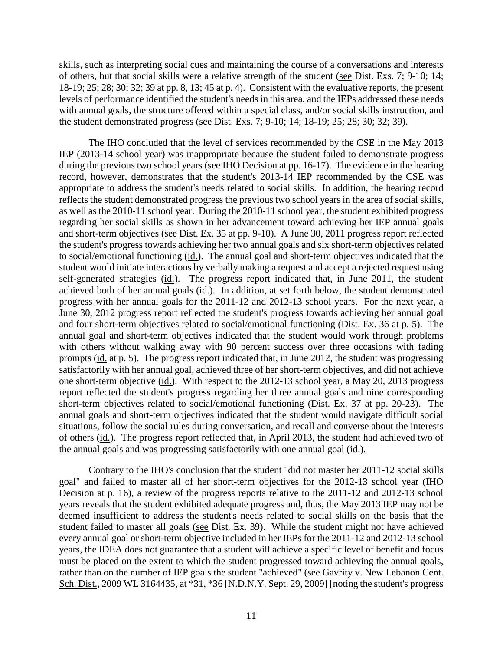skills, such as interpreting social cues and maintaining the course of a conversations and interests of others, but that social skills were a relative strength of the student (see Dist. Exs. 7; 9-10; 14; 18-19; 25; 28; 30; 32; 39 at pp. 8, 13; 45 at p. 4). Consistent with the evaluative reports, the present levels of performance identified the student's needs in this area, and the IEPs addressed these needs with annual goals, the structure offered within a special class, and/or social skills instruction, and the student demonstrated progress (see Dist. Exs. 7; 9-10; 14; 18-19; 25; 28; 30; 32; 39).

The IHO concluded that the level of services recommended by the CSE in the May 2013 IEP (2013-14 school year) was inappropriate because the student failed to demonstrate progress during the previous two school years (see IHO Decision at pp. 16-17). The evidence in the hearing record, however, demonstrates that the student's 2013-14 IEP recommended by the CSE was appropriate to address the student's needs related to social skills. In addition, the hearing record reflects the student demonstrated progress the previous two school years in the area of social skills, as well as the 2010-11 school year. During the 2010-11 school year, the student exhibited progress regarding her social skills as shown in her advancement toward achieving her IEP annual goals and short-term objectives (see Dist. Ex. 35 at pp. 9-10). A June 30, 2011 progress report reflected the student's progress towards achieving her two annual goals and six short-term objectives related to social/emotional functioning (id.). The annual goal and short-term objectives indicated that the student would initiate interactions by verbally making a request and accept a rejected request using self-generated strategies (id.). The progress report indicated that, in June 2011, the student achieved both of her annual goals (id.). In addition, at set forth below, the student demonstrated progress with her annual goals for the 2011-12 and 2012-13 school years. For the next year, a June 30, 2012 progress report reflected the student's progress towards achieving her annual goal and four short-term objectives related to social/emotional functioning (Dist. Ex. 36 at p. 5). The annual goal and short-term objectives indicated that the student would work through problems with others without walking away with 90 percent success over three occasions with fading prompts (id. at p. 5). The progress report indicated that, in June 2012, the student was progressing satisfactorily with her annual goal, achieved three of her short-term objectives, and did not achieve one short-term objective (id.). With respect to the 2012-13 school year, a May 20, 2013 progress report reflected the student's progress regarding her three annual goals and nine corresponding short-term objectives related to social/emotional functioning (Dist. Ex. 37 at pp. 20-23). The annual goals and short-term objectives indicated that the student would navigate difficult social situations, follow the social rules during conversation, and recall and converse about the interests of others (id.). The progress report reflected that, in April 2013, the student had achieved two of the annual goals and was progressing satisfactorily with one annual goal (id.).

Contrary to the IHO's conclusion that the student "did not master her 2011-12 social skills goal" and failed to master all of her short-term objectives for the 2012-13 school year (IHO Decision at p. 16), a review of the progress reports relative to the 2011-12 and 2012-13 school years reveals that the student exhibited adequate progress and, thus, the May 2013 IEP may not be deemed insufficient to address the student's needs related to social skills on the basis that the student failed to master all goals (see Dist. Ex. 39). While the student might not have achieved every annual goal or short-term objective included in her IEPs for the 2011-12 and 2012-13 school years, the IDEA does not guarantee that a student will achieve a specific level of benefit and focus must be placed on the extent to which the student progressed toward achieving the annual goals, rather than on the number of IEP goals the student "achieved" (see Gavrity v. New Lebanon Cent. Sch. Dist., 2009 WL 3164435, at \*31, \*36 [N.D.N.Y. Sept. 29, 2009] [noting the student's progress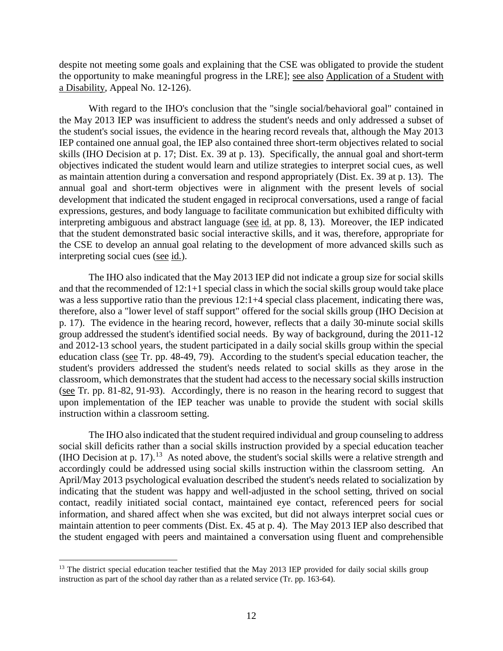despite not meeting some goals and explaining that the CSE was obligated to provide the student the opportunity to make meaningful progress in the LRE]; see also Application of a Student with a Disability, Appeal No. 12-126).

With regard to the IHO's conclusion that the "single social/behavioral goal" contained in the May 2013 IEP was insufficient to address the student's needs and only addressed a subset of the student's social issues, the evidence in the hearing record reveals that, although the May 2013 IEP contained one annual goal, the IEP also contained three short-term objectives related to social skills (IHO Decision at p. 17; Dist. Ex. 39 at p. 13). Specifically, the annual goal and short-term objectives indicated the student would learn and utilize strategies to interpret social cues, as well as maintain attention during a conversation and respond appropriately (Dist. Ex. 39 at p. 13). The annual goal and short-term objectives were in alignment with the present levels of social development that indicated the student engaged in reciprocal conversations, used a range of facial expressions, gestures, and body language to facilitate communication but exhibited difficulty with interpreting ambiguous and abstract language (see id. at pp. 8, 13). Moreover, the IEP indicated that the student demonstrated basic social interactive skills, and it was, therefore, appropriate for the CSE to develop an annual goal relating to the development of more advanced skills such as interpreting social cues (see id.).

The IHO also indicated that the May 2013 IEP did not indicate a group size for social skills and that the recommended of 12:1+1 special class in which the social skills group would take place was a less supportive ratio than the previous 12:1+4 special class placement, indicating there was, therefore, also a "lower level of staff support" offered for the social skills group (IHO Decision at p. 17). The evidence in the hearing record, however, reflects that a daily 30-minute social skills group addressed the student's identified social needs. By way of background, during the 2011-12 and 2012-13 school years, the student participated in a daily social skills group within the special education class (see Tr. pp. 48-49, 79). According to the student's special education teacher, the student's providers addressed the student's needs related to social skills as they arose in the classroom, which demonstrates that the student had access to the necessary social skills instruction (see Tr. pp. 81-82, 91-93). Accordingly, there is no reason in the hearing record to suggest that upon implementation of the IEP teacher was unable to provide the student with social skills instruction within a classroom setting.

The IHO also indicated that the student required individual and group counseling to address social skill deficits rather than a social skills instruction provided by a special education teacher (IHO Decision at p. 17).<sup>13</sup> As noted above, the student's social skills were a relative strength and accordingly could be addressed using social skills instruction within the classroom setting. An April/May 2013 psychological evaluation described the student's needs related to socialization by indicating that the student was happy and well-adjusted in the school setting, thrived on social contact, readily initiated social contact, maintained eye contact, referenced peers for social information, and shared affect when she was excited, but did not always interpret social cues or maintain attention to peer comments (Dist. Ex. 45 at p. 4). The May 2013 IEP also described that the student engaged with peers and maintained a conversation using fluent and comprehensible

<sup>&</sup>lt;sup>13</sup> The district special education teacher testified that the May 2013 IEP provided for daily social skills group instruction as part of the school day rather than as a related service (Tr. pp. 163-64).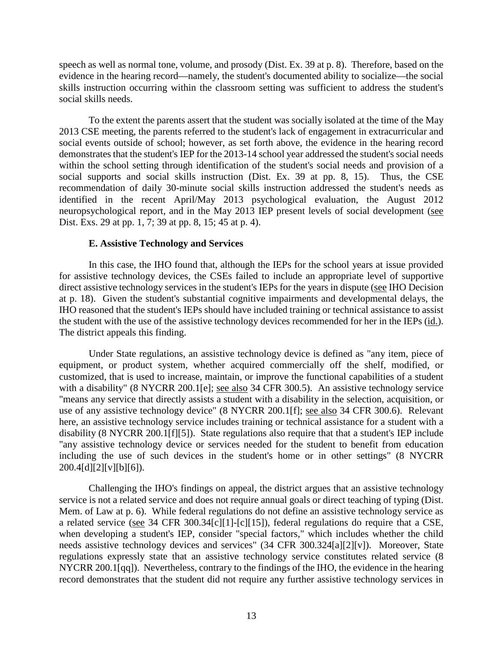speech as well as normal tone, volume, and prosody (Dist. Ex. 39 at p. 8). Therefore, based on the evidence in the hearing record—namely, the student's documented ability to socialize—the social skills instruction occurring within the classroom setting was sufficient to address the student's social skills needs.

To the extent the parents assert that the student was socially isolated at the time of the May 2013 CSE meeting, the parents referred to the student's lack of engagement in extracurricular and social events outside of school; however, as set forth above, the evidence in the hearing record demonstrates that the student's IEP for the 2013-14 school year addressed the student's social needs within the school setting through identification of the student's social needs and provision of a social supports and social skills instruction (Dist. Ex. 39 at pp. 8, 15). Thus, the CSE recommendation of daily 30-minute social skills instruction addressed the student's needs as identified in the recent April/May 2013 psychological evaluation, the August 2012 neuropsychological report, and in the May 2013 IEP present levels of social development (see Dist. Exs. 29 at pp. 1, 7; 39 at pp. 8, 15; 45 at p. 4).

## **E. Assistive Technology and Services**

In this case, the IHO found that, although the IEPs for the school years at issue provided for assistive technology devices, the CSEs failed to include an appropriate level of supportive direct assistive technology services in the student's IEPs for the years in dispute (see IHO Decision at p. 18). Given the student's substantial cognitive impairments and developmental delays, the IHO reasoned that the student's IEPs should have included training or technical assistance to assist the student with the use of the assistive technology devices recommended for her in the IEPs (id.). The district appeals this finding.

Under State regulations, an assistive technology device is defined as "any item, piece of equipment, or product system, whether acquired commercially off the shelf, modified, or customized, that is used to increase, maintain, or improve the functional capabilities of a student with a disability" (8 NYCRR 200.1[e]; see also 34 CFR 300.5). An assistive technology service "means any service that directly assists a student with a disability in the selection, acquisition, or use of any assistive technology device" (8 NYCRR 200.1[f]; see also 34 CFR 300.6). Relevant here, an assistive technology service includes training or technical assistance for a student with a disability (8 NYCRR 200.1[f][5]). State regulations also require that that a student's IEP include "any assistive technology device or services needed for the student to benefit from education including the use of such devices in the student's home or in other settings" (8 NYCRR  $200.4[d][2][v][b][6]$ .

Challenging the IHO's findings on appeal, the district argues that an assistive technology service is not a related service and does not require annual goals or direct teaching of typing (Dist. Mem. of Law at p. 6). While federal regulations do not define an assistive technology service as a related service (see 34 CFR 300.34[c][1]-[c][15]), federal regulations do require that a CSE, when developing a student's IEP, consider "special factors," which includes whether the child needs assistive technology devices and services" (34 CFR 300.324[a][2][v]). Moreover, State regulations expressly state that an assistive technology service constitutes related service (8 NYCRR 200.1[qq]). Nevertheless, contrary to the findings of the IHO, the evidence in the hearing record demonstrates that the student did not require any further assistive technology services in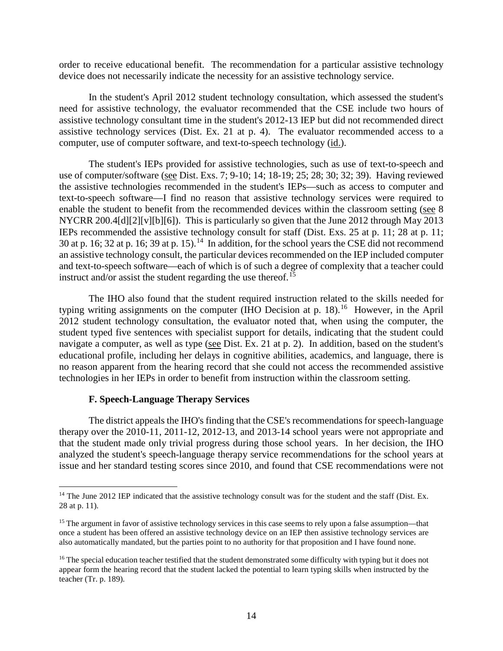order to receive educational benefit. The recommendation for a particular assistive technology device does not necessarily indicate the necessity for an assistive technology service.

In the student's April 2012 student technology consultation, which assessed the student's need for assistive technology, the evaluator recommended that the CSE include two hours of assistive technology consultant time in the student's 2012-13 IEP but did not recommended direct assistive technology services (Dist. Ex. 21 at p. 4). The evaluator recommended access to a computer, use of computer software, and text-to-speech technology (id.).

The student's IEPs provided for assistive technologies, such as use of text-to-speech and use of computer/software (see Dist. Exs. 7; 9-10; 14; 18-19; 25; 28; 30; 32; 39). Having reviewed the assistive technologies recommended in the student's IEPs—such as access to computer and text-to-speech software—I find no reason that assistive technology services were required to enable the student to benefit from the recommended devices within the classroom setting (see 8 NYCRR 200.4[d][2][v][b][6]). This is particularly so given that the June 2012 through May 2013 IEPs recommended the assistive technology consult for staff (Dist. Exs. 25 at p. 11; 28 at p. 11; 30 at p. 16; 32 at p. 16; 39 at p. 15).<sup>14</sup> In addition, for the school years the CSE did not recommend an assistive technology consult, the particular devices recommended on the IEP included computer and text-to-speech software—each of which is of such a degree of complexity that a teacher could instruct and/or assist the student regarding the use thereof. 15

The IHO also found that the student required instruction related to the skills needed for typing writing assignments on the computer (IHO Decision at p.  $18$ ).<sup>16</sup> However, in the April 2012 student technology consultation, the evaluator noted that, when using the computer, the student typed five sentences with specialist support for details, indicating that the student could navigate a computer, as well as type (see Dist. Ex. 21 at p. 2). In addition, based on the student's educational profile, including her delays in cognitive abilities, academics, and language, there is no reason apparent from the hearing record that she could not access the recommended assistive technologies in her IEPs in order to benefit from instruction within the classroom setting.

#### **F. Speech-Language Therapy Services**

The district appeals the IHO's finding that the CSE's recommendations for speech-language therapy over the 2010-11, 2011-12, 2012-13, and 2013-14 school years were not appropriate and that the student made only trivial progress during those school years. In her decision, the IHO analyzed the student's speech-language therapy service recommendations for the school years at issue and her standard testing scores since 2010, and found that CSE recommendations were not

<sup>&</sup>lt;sup>14</sup> The June 2012 IEP indicated that the assistive technology consult was for the student and the staff (Dist. Ex. 28 at p. 11).

<sup>&</sup>lt;sup>15</sup> The argument in favor of assistive technology services in this case seems to rely upon a false assumption—that once a student has been offered an assistive technology device on an IEP then assistive technology services are also automatically mandated, but the parties point to no authority for that proposition and I have found none.

<sup>&</sup>lt;sup>16</sup> The special education teacher testified that the student demonstrated some difficulty with typing but it does not appear form the hearing record that the student lacked the potential to learn typing skills when instructed by the teacher (Tr. p. 189).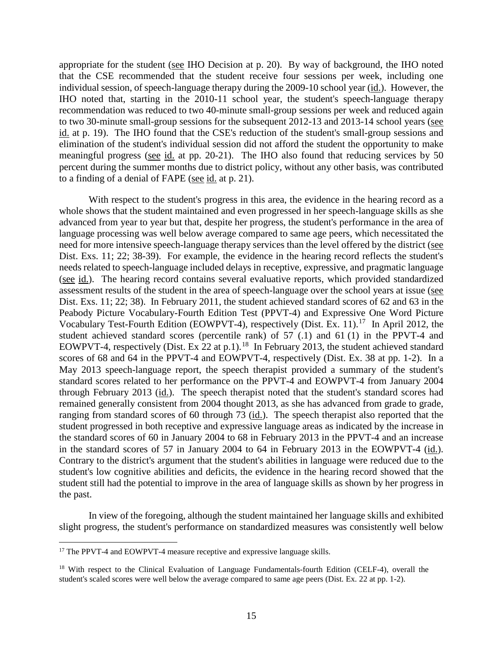appropriate for the student (see IHO Decision at p. 20). By way of background, the IHO noted that the CSE recommended that the student receive four sessions per week, including one individual session, of speech-language therapy during the 2009-10 school year (id.). However, the IHO noted that, starting in the 2010-11 school year, the student's speech-language therapy recommendation was reduced to two 40-minute small-group sessions per week and reduced again to two 30-minute small-group sessions for the subsequent 2012-13 and 2013-14 school years (see id. at p. 19). The IHO found that the CSE's reduction of the student's small-group sessions and elimination of the student's individual session did not afford the student the opportunity to make meaningful progress (see id. at pp. 20-21). The IHO also found that reducing services by 50 percent during the summer months due to district policy, without any other basis, was contributed to a finding of a denial of FAPE (see id. at p. 21).

With respect to the student's progress in this area, the evidence in the hearing record as a whole shows that the student maintained and even progressed in her speech-language skills as she advanced from year to year but that, despite her progress, the student's performance in the area of language processing was well below average compared to same age peers, which necessitated the need for more intensive speech-language therapy services than the level offered by the district (see Dist. Exs. 11; 22; 38-39). For example, the evidence in the hearing record reflects the student's needs related to speech-language included delays in receptive, expressive, and pragmatic language (see id.). The hearing record contains several evaluative reports, which provided standardized assessment results of the student in the area of speech-language over the school years at issue (see Dist. Exs. 11; 22; 38). In February 2011, the student achieved standard scores of 62 and 63 in the Peabody Picture Vocabulary-Fourth Edition Test (PPVT-4) and Expressive One Word Picture Vocabulary Test-Fourth Edition (EOWPVT-4), respectively (Dist. Ex. 11).<sup>17</sup> In April 2012, the student achieved standard scores (percentile rank) of 57 (.1) and 61 (1) in the PPVT-4 and EOWPVT-4, respectively (Dist. Ex  $22$  at p.1).<sup>18</sup> In February 2013, the student achieved standard scores of 68 and 64 in the PPVT-4 and EOWPVT-4, respectively (Dist. Ex. 38 at pp. 1-2). In a May 2013 speech-language report, the speech therapist provided a summary of the student's standard scores related to her performance on the PPVT-4 and EOWPVT-4 from January 2004 through February 2013 (id.). The speech therapist noted that the student's standard scores had remained generally consistent from 2004 thought 2013, as she has advanced from grade to grade, ranging from standard scores of 60 through 73 (id.). The speech therapist also reported that the student progressed in both receptive and expressive language areas as indicated by the increase in the standard scores of 60 in January 2004 to 68 in February 2013 in the PPVT-4 and an increase in the standard scores of 57 in January 2004 to 64 in February 2013 in the EOWPVT-4 (id.). Contrary to the district's argument that the student's abilities in language were reduced due to the student's low cognitive abilities and deficits, the evidence in the hearing record showed that the student still had the potential to improve in the area of language skills as shown by her progress in the past.

In view of the foregoing, although the student maintained her language skills and exhibited slight progress, the student's performance on standardized measures was consistently well below

<sup>&</sup>lt;sup>17</sup> The PPVT-4 and EOWPVT-4 measure receptive and expressive language skills.

<sup>&</sup>lt;sup>18</sup> With respect to the Clinical Evaluation of Language Fundamentals-fourth Edition (CELF-4), overall the student's scaled scores were well below the average compared to same age peers (Dist. Ex. 22 at pp. 1-2).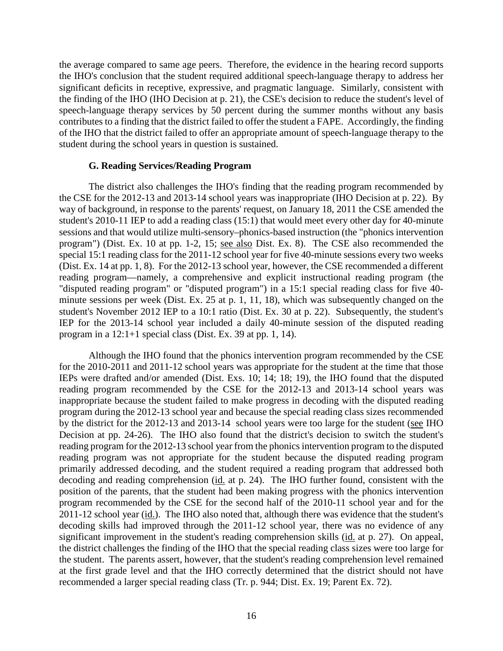the average compared to same age peers. Therefore, the evidence in the hearing record supports the IHO's conclusion that the student required additional speech-language therapy to address her significant deficits in receptive, expressive, and pragmatic language. Similarly, consistent with the finding of the IHO (IHO Decision at p. 21), the CSE's decision to reduce the student's level of speech-language therapy services by 50 percent during the summer months without any basis contributes to a finding that the district failed to offer the student a FAPE. Accordingly, the finding of the IHO that the district failed to offer an appropriate amount of speech-language therapy to the student during the school years in question is sustained.

#### **G. Reading Services/Reading Program**

The district also challenges the IHO's finding that the reading program recommended by the CSE for the 2012-13 and 2013-14 school years was inappropriate (IHO Decision at p. 22). By way of background, in response to the parents' request, on January 18, 2011 the CSE amended the student's 2010-11 IEP to add a reading class (15:1) that would meet every other day for 40-minute sessions and that would utilize multi-sensory–phonics-based instruction (the "phonics intervention program") (Dist. Ex. 10 at pp. 1-2, 15; see also Dist. Ex. 8). The CSE also recommended the special 15:1 reading class for the 2011-12 school year for five 40-minute sessions every two weeks (Dist. Ex. 14 at pp. 1, 8). For the 2012-13 school year, however, the CSE recommended a different reading program—namely, a comprehensive and explicit instructional reading program (the "disputed reading program" or "disputed program") in a 15:1 special reading class for five 40 minute sessions per week (Dist. Ex. 25 at p. 1, 11, 18), which was subsequently changed on the student's November 2012 IEP to a 10:1 ratio (Dist. Ex. 30 at p. 22). Subsequently, the student's IEP for the 2013-14 school year included a daily 40-minute session of the disputed reading program in a 12:1+1 special class (Dist. Ex. 39 at pp. 1, 14).

Although the IHO found that the phonics intervention program recommended by the CSE for the 2010-2011 and 2011-12 school years was appropriate for the student at the time that those IEPs were drafted and/or amended (Dist. Exs. 10; 14; 18; 19), the IHO found that the disputed reading program recommended by the CSE for the 2012-13 and 2013-14 school years was inappropriate because the student failed to make progress in decoding with the disputed reading program during the 2012-13 school year and because the special reading class sizes recommended by the district for the 2012-13 and 2013-14 school years were too large for the student (see IHO Decision at pp. 24-26). The IHO also found that the district's decision to switch the student's reading program for the 2012-13 school year from the phonics intervention program to the disputed reading program was not appropriate for the student because the disputed reading program primarily addressed decoding, and the student required a reading program that addressed both decoding and reading comprehension (id. at p. 24). The IHO further found, consistent with the position of the parents, that the student had been making progress with the phonics intervention program recommended by the CSE for the second half of the 2010-11 school year and for the 2011-12 school year (id.). The IHO also noted that, although there was evidence that the student's decoding skills had improved through the 2011-12 school year, there was no evidence of any significant improvement in the student's reading comprehension skills (id. at p. 27). On appeal, the district challenges the finding of the IHO that the special reading class sizes were too large for the student. The parents assert, however, that the student's reading comprehension level remained at the first grade level and that the IHO correctly determined that the district should not have recommended a larger special reading class (Tr. p. 944; Dist. Ex. 19; Parent Ex. 72).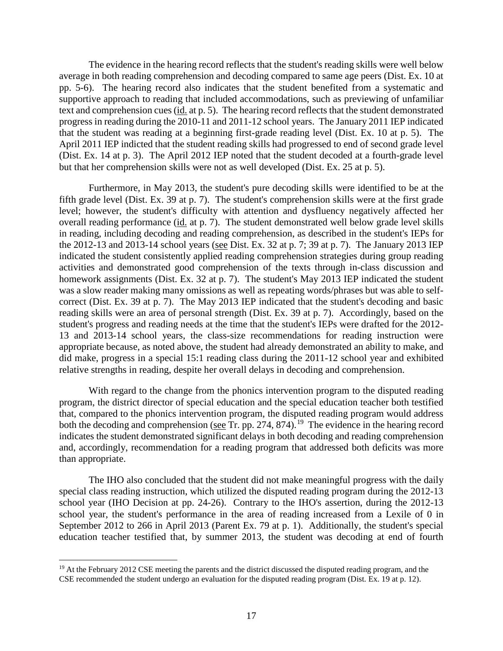The evidence in the hearing record reflects that the student's reading skills were well below average in both reading comprehension and decoding compared to same age peers (Dist. Ex. 10 at pp. 5-6). The hearing record also indicates that the student benefited from a systematic and supportive approach to reading that included accommodations, such as previewing of unfamiliar text and comprehension cues (id. at p. 5). The hearing record reflects that the student demonstrated progress in reading during the 2010-11 and 2011-12 school years. The January 2011 IEP indicated that the student was reading at a beginning first-grade reading level (Dist. Ex. 10 at p. 5). The April 2011 IEP indicted that the student reading skills had progressed to end of second grade level (Dist. Ex. 14 at p. 3). The April 2012 IEP noted that the student decoded at a fourth-grade level but that her comprehension skills were not as well developed (Dist. Ex. 25 at p. 5).

Furthermore, in May 2013, the student's pure decoding skills were identified to be at the fifth grade level (Dist. Ex. 39 at p. 7). The student's comprehension skills were at the first grade level; however, the student's difficulty with attention and dysfluency negatively affected her overall reading performance (id. at p. 7). The student demonstrated well below grade level skills in reading, including decoding and reading comprehension, as described in the student's IEPs for the 2012-13 and 2013-14 school years (see Dist. Ex. 32 at p. 7; 39 at p. 7). The January 2013 IEP indicated the student consistently applied reading comprehension strategies during group reading activities and demonstrated good comprehension of the texts through in-class discussion and homework assignments (Dist. Ex. 32 at p. 7). The student's May 2013 IEP indicated the student was a slow reader making many omissions as well as repeating words/phrases but was able to selfcorrect (Dist. Ex. 39 at p. 7). The May 2013 IEP indicated that the student's decoding and basic reading skills were an area of personal strength (Dist. Ex. 39 at p. 7). Accordingly, based on the student's progress and reading needs at the time that the student's IEPs were drafted for the 2012- 13 and 2013-14 school years, the class-size recommendations for reading instruction were appropriate because, as noted above, the student had already demonstrated an ability to make, and did make, progress in a special 15:1 reading class during the 2011-12 school year and exhibited relative strengths in reading, despite her overall delays in decoding and comprehension.

With regard to the change from the phonics intervention program to the disputed reading program, the district director of special education and the special education teacher both testified that, compared to the phonics intervention program, the disputed reading program would address both the decoding and comprehension (see Tr. pp. 274, 874).<sup>19</sup> The evidence in the hearing record indicates the student demonstrated significant delays in both decoding and reading comprehension and, accordingly, recommendation for a reading program that addressed both deficits was more than appropriate.

The IHO also concluded that the student did not make meaningful progress with the daily special class reading instruction, which utilized the disputed reading program during the 2012-13 school year (IHO Decision at pp. 24-26). Contrary to the IHO's assertion, during the 2012-13 school year, the student's performance in the area of reading increased from a Lexile of 0 in September 2012 to 266 in April 2013 (Parent Ex. 79 at p. 1). Additionally, the student's special education teacher testified that, by summer 2013, the student was decoding at end of fourth

<sup>&</sup>lt;sup>19</sup> At the February 2012 CSE meeting the parents and the district discussed the disputed reading program, and the CSE recommended the student undergo an evaluation for the disputed reading program (Dist. Ex. 19 at p. 12).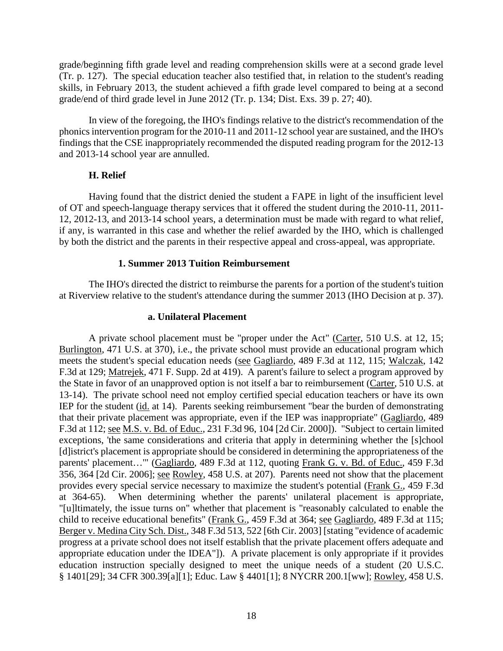grade/beginning fifth grade level and reading comprehension skills were at a second grade level (Tr. p. 127). The special education teacher also testified that, in relation to the student's reading skills, in February 2013, the student achieved a fifth grade level compared to being at a second grade/end of third grade level in June 2012 (Tr. p. 134; Dist. Exs. 39 p. 27; 40).

In view of the foregoing, the IHO's findings relative to the district's recommendation of the phonics intervention program for the 2010-11 and 2011-12 school year are sustained, and the IHO's findings that the CSE inappropriately recommended the disputed reading program for the 2012-13 and 2013-14 school year are annulled.

# **H. Relief**

Having found that the district denied the student a FAPE in light of the insufficient level of OT and speech-language therapy services that it offered the student during the 2010-11, 2011- 12, 2012-13, and 2013-14 school years, a determination must be made with regard to what relief, if any, is warranted in this case and whether the relief awarded by the IHO, which is challenged by both the district and the parents in their respective appeal and cross-appeal, was appropriate.

# **1. Summer 2013 Tuition Reimbursement**

The IHO's directed the district to reimburse the parents for a portion of the student's tuition at Riverview relative to the student's attendance during the summer 2013 (IHO Decision at p. 37).

## **a. Unilateral Placement**

A private school placement must be "proper under the Act" (Carter, 510 U.S. at 12, 15; Burlington, 471 U.S. at 370), i.e., the private school must provide an educational program which meets the student's special education needs (see Gagliardo, 489 F.3d at 112, 115; Walczak, 142 F.3d at 129; Matrejek, 471 F. Supp. 2d at 419). A parent's failure to select a program approved by the State in favor of an unapproved option is not itself a bar to reimbursement (Carter, 510 U.S. at 13-14). The private school need not employ certified special education teachers or have its own IEP for the student (id. at 14). Parents seeking reimbursement "bear the burden of demonstrating that their private placement was appropriate, even if the IEP was inappropriate" (Gagliardo, 489 F.3d at 112; see M.S. v. Bd. of Educ., 231 F.3d 96, 104 [2d Cir. 2000]). "Subject to certain limited exceptions, 'the same considerations and criteria that apply in determining whether the [s]chool [d]istrict's placement is appropriate should be considered in determining the appropriateness of the parents' placement..."" (Gagliardo, 489 F.3d at 112, quoting Frank G. v. Bd. of Educ., 459 F.3d 356, 364 [2d Cir. 2006]; see Rowley, 458 U.S. at 207). Parents need not show that the placement provides every special service necessary to maximize the student's potential (Frank G., 459 F.3d at 364-65). When determining whether the parents' unilateral placement is appropriate, "[u]ltimately, the issue turns on" whether that placement is "reasonably calculated to enable the child to receive educational benefits" (Frank G., 459 F.3d at 364; see Gagliardo, 489 F.3d at 115; Berger v. Medina City Sch. Dist., 348 F.3d 513, 522 [6th Cir. 2003] [stating "evidence of academic progress at a private school does not itself establish that the private placement offers adequate and appropriate education under the IDEA"]). A private placement is only appropriate if it provides education instruction specially designed to meet the unique needs of a student (20 U.S.C. § 1401[29]; 34 CFR 300.39[a][1]; Educ. Law § 4401[1]; 8 NYCRR 200.1[ww]; Rowley, 458 U.S.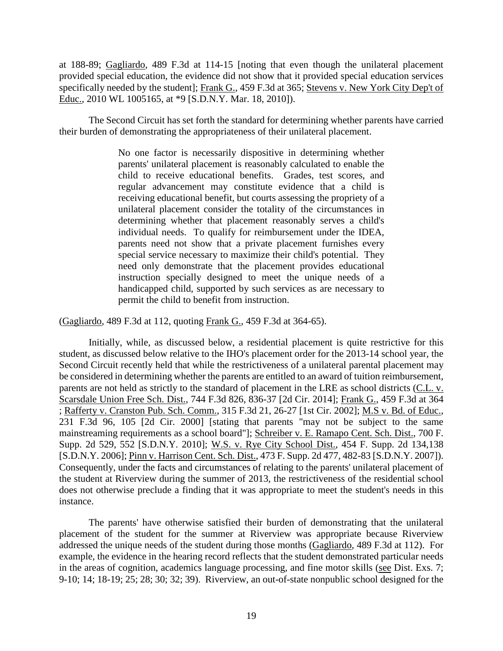at 188-89; Gagliardo, 489 F.3d at 114-15 [noting that even though the unilateral placement provided special education, the evidence did not show that it provided special education services specifically needed by the student]; Frank G., 459 F.3d at 365; Stevens v. New York City Dep't of Educ., 2010 WL 1005165, at \*9 [S.D.N.Y. Mar. 18, 2010]).

The Second Circuit has set forth the standard for determining whether parents have carried their burden of demonstrating the appropriateness of their unilateral placement.

> No one factor is necessarily dispositive in determining whether parents' unilateral placement is reasonably calculated to enable the child to receive educational benefits. Grades, test scores, and regular advancement may constitute evidence that a child is receiving educational benefit, but courts assessing the propriety of a unilateral placement consider the totality of the circumstances in determining whether that placement reasonably serves a child's individual needs. To qualify for reimbursement under the IDEA, parents need not show that a private placement furnishes every special service necessary to maximize their child's potential. They need only demonstrate that the placement provides educational instruction specially designed to meet the unique needs of a handicapped child, supported by such services as are necessary to permit the child to benefit from instruction.

(Gagliardo, 489 F.3d at 112, quoting Frank G., 459 F.3d at 364-65).

Initially, while, as discussed below, a residential placement is quite restrictive for this student, as discussed below relative to the IHO's placement order for the 2013-14 school year, the Second Circuit recently held that while the restrictiveness of a unilateral parental placement may be considered in determining whether the parents are entitled to an award of tuition reimbursement, parents are not held as strictly to the standard of placement in the LRE as school districts (C.L. v. Scarsdale Union Free Sch. Dist., 744 F.3d 826, 836-37 [2d Cir. 2014]; Frank G., 459 F.3d at 364 ; Rafferty v. Cranston Pub. Sch. Comm., 315 F.3d 21, 26-27 [1st Cir. 2002]; M.S v. Bd. of Educ., 231 F.3d 96, 105 [2d Cir. 2000] [stating that parents "may not be subject to the same mainstreaming requirements as a school board"]; Schreiber v. E. Ramapo Cent. Sch. Dist., 700 F. Supp. 2d 529, 552 [S.D.N.Y. 2010]; W.S. v. Rye City School Dist., 454 F. Supp. 2d 134,138 [S.D.N.Y. 2006]; Pinn v. Harrison Cent. Sch. Dist., 473 F. Supp. 2d 477, 482-83 [S.D.N.Y. 2007]). Consequently, under the facts and circumstances of relating to the parents' unilateral placement of the student at Riverview during the summer of 2013, the restrictiveness of the residential school does not otherwise preclude a finding that it was appropriate to meet the student's needs in this instance.

The parents' have otherwise satisfied their burden of demonstrating that the unilateral placement of the student for the summer at Riverview was appropriate because Riverview addressed the unique needs of the student during those months (Gagliardo, 489 F.3d at 112). For example, the evidence in the hearing record reflects that the student demonstrated particular needs in the areas of cognition, academics language processing, and fine motor skills (see Dist. Exs. 7; 9-10; 14; 18-19; 25; 28; 30; 32; 39). Riverview, an out-of-state nonpublic school designed for the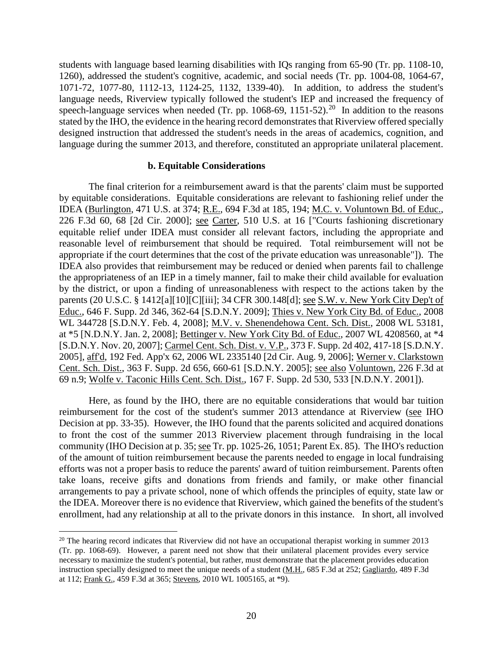students with language based learning disabilities with IQs ranging from 65-90 (Tr. pp. 1108-10, 1260), addressed the student's cognitive, academic, and social needs (Tr. pp. 1004-08, 1064-67, 1071-72, 1077-80, 1112-13, 1124-25, 1132, 1339-40). In addition, to address the student's language needs, Riverview typically followed the student's IEP and increased the frequency of speech-language services when needed (Tr. pp. 1068-69, 1151-52).<sup>20</sup> In addition to the reasons stated by the IHO, the evidence in the hearing record demonstrates that Riverview offered specially designed instruction that addressed the student's needs in the areas of academics, cognition, and language during the summer 2013, and therefore, constituted an appropriate unilateral placement.

#### **b. Equitable Considerations**

The final criterion for a reimbursement award is that the parents' claim must be supported by equitable considerations. Equitable considerations are relevant to fashioning relief under the IDEA (Burlington, 471 U.S. at 374; R.E., 694 F.3d at 185, 194; M.C. v. Voluntown Bd. of Educ., 226 F.3d 60, 68 [2d Cir. 2000]; see Carter, 510 U.S. at 16 ["Courts fashioning discretionary equitable relief under IDEA must consider all relevant factors, including the appropriate and reasonable level of reimbursement that should be required. Total reimbursement will not be appropriate if the court determines that the cost of the private education was unreasonable"]). The IDEA also provides that reimbursement may be reduced or denied when parents fail to challenge the appropriateness of an IEP in a timely manner, fail to make their child available for evaluation by the district, or upon a finding of unreasonableness with respect to the actions taken by the parents (20 U.S.C. § 1412[a][10][C][iii]; 34 CFR 300.148[d]; see S.W. v. New York City Dep't of Educ., 646 F. Supp. 2d 346, 362-64 [S.D.N.Y. 2009]; Thies v. New York City Bd. of Educ., 2008 WL 344728 [S.D.N.Y. Feb. 4, 2008]; M.V. v. Shenendehowa Cent. Sch. Dist., 2008 WL 53181, at \*5 [N.D.N.Y. Jan. 2, 2008]; Bettinger v. New York City Bd. of Educ., 2007 WL 4208560, at \*4 [S.D.N.Y. Nov. 20, 2007]; Carmel Cent. Sch. Dist. v. V.P., 373 F. Supp. 2d 402, 417-18 [S.D.N.Y. 2005], aff'd, 192 Fed. App'x 62, 2006 WL 2335140 [2d Cir. Aug. 9, 2006]; Werner v. Clarkstown Cent. Sch. Dist., 363 F. Supp. 2d 656, 660-61 [S.D.N.Y. 2005]; see also Voluntown, 226 F.3d at 69 n.9; Wolfe v. Taconic Hills Cent. Sch. Dist., 167 F. Supp. 2d 530, 533 [N.D.N.Y. 2001]).

Here, as found by the IHO, there are no equitable considerations that would bar tuition reimbursement for the cost of the student's summer 2013 attendance at Riverview (see IHO Decision at pp. 33-35). However, the IHO found that the parents solicited and acquired donations to front the cost of the summer 2013 Riverview placement through fundraising in the local community (IHO Decision at p. 35; see Tr. pp. 1025-26, 1051; Parent Ex. 85). The IHO's reduction of the amount of tuition reimbursement because the parents needed to engage in local fundraising efforts was not a proper basis to reduce the parents' award of tuition reimbursement. Parents often take loans, receive gifts and donations from friends and family, or make other financial arrangements to pay a private school, none of which offends the principles of equity, state law or the IDEA. Moreover there is no evidence that Riverview, which gained the benefits of the student's enrollment, had any relationship at all to the private donors in this instance. In short, all involved

<sup>&</sup>lt;sup>20</sup> The hearing record indicates that Riverview did not have an occupational therapist working in summer 2013 (Tr. pp. 1068-69). However, a parent need not show that their unilateral placement provides every service necessary to maximize the student's potential, but rather, must demonstrate that the placement provides education instruction specially designed to meet the unique needs of a student (M.H., 685 F.3d at 252; Gagliardo, 489 F.3d at 112; Frank G., 459 F.3d at 365; Stevens, 2010 WL 1005165, at \*9).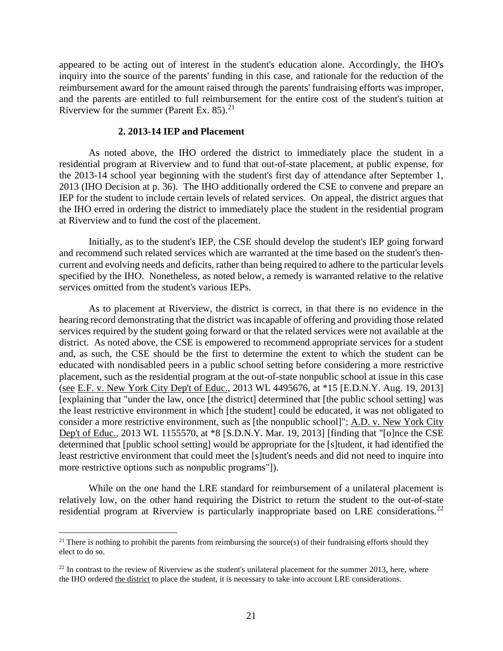appeared to be acting out of interest in the student's education alone. Accordingly, the IHO's inquiry into the source of the parents' funding in this case, and rationale for the reduction of the reimbursement award for the amount raised through the parents' fundraising efforts was improper, and the parents are entitled to full reimbursement for the entire cost of the student's tuition at Riverview for the summer (Parent Ex.  $85$ ).<sup>21</sup>

#### **2. 2013-14 IEP and Placement**

As noted above, the IHO ordered the district to immediately place the student in a residential program at Riverview and to fund that out-of-state placement, at public expense, for the 2013-14 school year beginning with the student's first day of attendance after September 1, 2013 (IHO Decision at p. 36). The IHO additionally ordered the CSE to convene and prepare an IEP for the student to include certain levels of related services. On appeal, the district argues that the IHO erred in ordering the district to immediately place the student in the residential program at Riverview and to fund the cost of the placement.

Initially, as to the student's IEP, the CSE should develop the student's IEP going forward and recommend such related services which are warranted at the time based on the student's thencurrent and evolving needs and deficits, rather than being required to adhere to the particular levels specified by the IHO. Nonetheless, as noted below, a remedy is warranted relative to the relative services omitted from the student's various IEPs.

As to placement at Riverview, the district is correct, in that there is no evidence in the hearing record demonstrating that the district was incapable of offering and providing those related services required by the student going forward or that the related services were not available at the district. As noted above, the CSE is empowered to recommend appropriate services for a student and, as such, the CSE should be the first to determine the extent to which the student can be educated with nondisabled peers in a public school setting before considering a more restrictive placement, such as the residential program at the out-of-state nonpublic school at issue in this case (see E.F. v. New York City Dep't of Educ., 2013 WL 4495676, at \*15 [E.D.N.Y. Aug. 19, 2013] [explaining that "under the law, once [the district] determined that [the public school setting] was the least restrictive environment in which [the student] could be educated, it was not obligated to consider a more restrictive environment, such as [the nonpublic school]"; A.D. v. New York City Dep't of Educ., 2013 WL 1155570, at \*8 [S.D.N.Y. Mar. 19, 2013] [finding that "[o]nce the CSE determined that [public school setting] would be appropriate for the [s]tudent, it had identified the least restrictive environment that could meet the [s]tudent's needs and did not need to inquire into more restrictive options such as nonpublic programs"]).

While on the one hand the LRE standard for reimbursement of a unilateral placement is relatively low, on the other hand requiring the District to return the student to the out-of-state residential program at Riverview is particularly inappropriate based on LRE considerations.<sup>22</sup>

 $21$  There is nothing to prohibit the parents from reimbursing the source(s) of their fundraising efforts should they elect to do so.

 $22$  In contrast to the review of Riverview as the student's unilateral placement for the summer 2013, here, where the IHO ordered the district to place the student, it is necessary to take into account LRE considerations.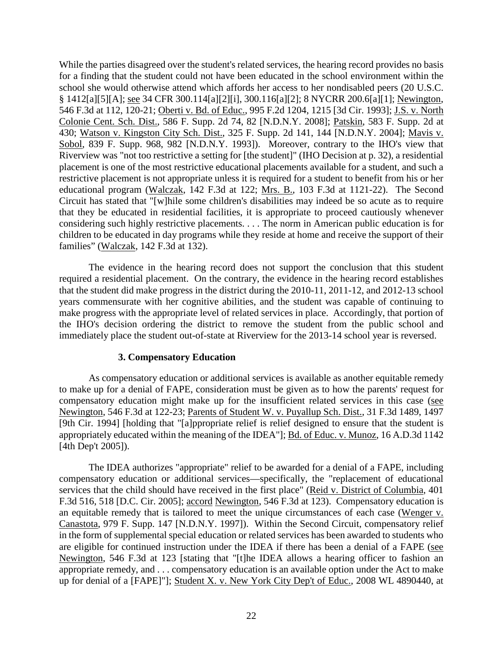While the parties disagreed over the student's related services, the hearing record provides no basis for a finding that the student could not have been educated in the school environment within the school she would otherwise attend which affords her access to her nondisabled peers (20 U.S.C. § 1412[a][5][A]; see 34 CFR 300.114[a][2][i], 300.116[a][2]; 8 NYCRR 200.6[a][1]; Newington, 546 F.3d at 112, 120-21; Oberti v. Bd. of Educ., 995 F.2d 1204, 1215 [3d Cir. 1993]; J.S. v. North Colonie Cent. Sch. Dist., 586 F. Supp. 2d 74, 82 [N.D.N.Y. 2008]; Patskin, 583 F. Supp. 2d at 430; Watson v. Kingston City Sch. Dist., 325 F. Supp. 2d 141, 144 [N.D.N.Y. 2004]; Mavis v. Sobol, 839 F. Supp. 968, 982 [N.D.N.Y. 1993]). Moreover, contrary to the IHO's view that Riverview was "not too restrictive a setting for [the student]" (IHO Decision at p. 32), a residential placement is one of the most restrictive educational placements available for a student, and such a restrictive placement is not appropriate unless it is required for a student to benefit from his or her educational program (Walczak, 142 F.3d at 122; Mrs. B., 103 F.3d at 1121-22). The Second Circuit has stated that "[w]hile some children's disabilities may indeed be so acute as to require that they be educated in residential facilities, it is appropriate to proceed cautiously whenever considering such highly restrictive placements. . . . The norm in American public education is for children to be educated in day programs while they reside at home and receive the support of their families" (Walczak, 142 F.3d at 132).

The evidence in the hearing record does not support the conclusion that this student required a residential placement. On the contrary, the evidence in the hearing record establishes that the student did make progress in the district during the 2010-11, 2011-12, and 2012-13 school years commensurate with her cognitive abilities, and the student was capable of continuing to make progress with the appropriate level of related services in place. Accordingly, that portion of the IHO's decision ordering the district to remove the student from the public school and immediately place the student out-of-state at Riverview for the 2013-14 school year is reversed.

## **3. Compensatory Education**

As compensatory education or additional services is available as another equitable remedy to make up for a denial of FAPE, consideration must be given as to how the parents' request for compensatory education might make up for the insufficient related services in this case (see Newington, 546 F.3d at 122-23; Parents of Student W. v. Puyallup Sch. Dist., 31 F.3d 1489, 1497 [9th Cir. 1994] [holding that "[a]ppropriate relief is relief designed to ensure that the student is appropriately educated within the meaning of the IDEA"]; Bd. of Educ. v. Munoz, 16 A.D.3d 1142 [4th Dep't 2005]).

The IDEA authorizes "appropriate" relief to be awarded for a denial of a FAPE, including compensatory education or additional services—specifically, the "replacement of educational services that the child should have received in the first place" (Reid v. District of Columbia, 401 F.3d 516, 518 [D.C. Cir. 2005]; accord Newington, 546 F.3d at 123). Compensatory education is an equitable remedy that is tailored to meet the unique circumstances of each case (Wenger v. Canastota, 979 F. Supp. 147 [N.D.N.Y. 1997]). Within the Second Circuit, compensatory relief in the form of supplemental special education or related services has been awarded to students who are eligible for continued instruction under the IDEA if there has been a denial of a FAPE (see Newington, 546 F.3d at 123 [stating that "[t]he IDEA allows a hearing officer to fashion an appropriate remedy, and . . . compensatory education is an available option under the Act to make up for denial of a [FAPE]"]; Student X. v. New York City Dep't of Educ., 2008 WL 4890440, at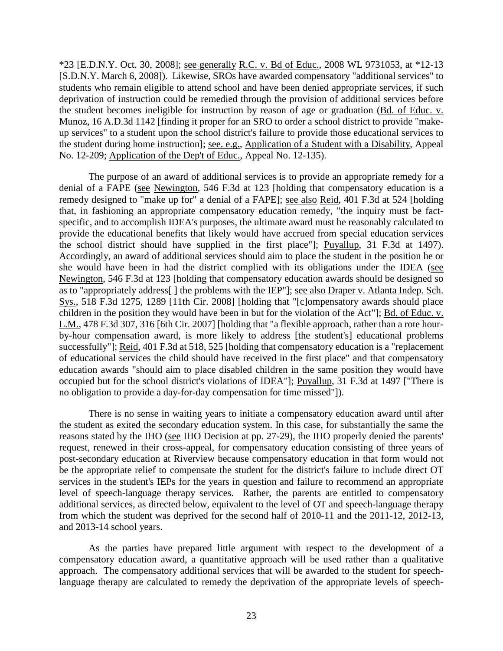\*23 [E.D.N.Y. Oct. 30, 2008]; see generally R.C. v. Bd of Educ., 2008 WL 9731053, at \*12-13 [S.D.N.Y. March 6, 2008]). Likewise, SROs have awarded compensatory "additional services" to students who remain eligible to attend school and have been denied appropriate services, if such deprivation of instruction could be remedied through the provision of additional services before the student becomes ineligible for instruction by reason of age or graduation (Bd. of Educ. v. Munoz, 16 A.D.3d 1142 [finding it proper for an SRO to order a school district to provide "makeup services" to a student upon the school district's failure to provide those educational services to the student during home instruction]; see. e.g., Application of a Student with a Disability, Appeal No. 12-209; Application of the Dep't of Educ., Appeal No. 12-135).

The purpose of an award of additional services is to provide an appropriate remedy for a denial of a FAPE (see Newington, 546 F.3d at 123 [holding that compensatory education is a remedy designed to "make up for" a denial of a FAPE]; see also Reid, 401 F.3d at 524 [holding that, in fashioning an appropriate compensatory education remedy, "the inquiry must be factspecific, and to accomplish IDEA's purposes, the ultimate award must be reasonably calculated to provide the educational benefits that likely would have accrued from special education services the school district should have supplied in the first place"]; Puyallup, 31 F.3d at 1497). Accordingly, an award of additional services should aim to place the student in the position he or she would have been in had the district complied with its obligations under the IDEA (see Newington, 546 F.3d at 123 [holding that compensatory education awards should be designed so as to "appropriately address[] the problems with the IEP"]; see also Draper v. Atlanta Indep. Sch. Sys., 518 F.3d 1275, 1289 [11th Cir. 2008] [holding that "[c]ompensatory awards should place children in the position they would have been in but for the violation of the Act"]; Bd. of Educ. v. L.M., 478 F.3d 307, 316 [6th Cir. 2007] [holding that "a flexible approach, rather than a rote hourby-hour compensation award, is more likely to address [the student's] educational problems successfully"]; Reid, 401 F.3d at 518, 525 [holding that compensatory education is a "replacement" of educational services the child should have received in the first place" and that compensatory education awards "should aim to place disabled children in the same position they would have occupied but for the school district's violations of IDEA"]; Puyallup, 31 F.3d at 1497 ["There is no obligation to provide a day-for-day compensation for time missed"]).

There is no sense in waiting years to initiate a compensatory education award until after the student as exited the secondary education system. In this case, for substantially the same the reasons stated by the IHO (see IHO Decision at pp. 27-29), the IHO properly denied the parents' request, renewed in their cross-appeal, for compensatory education consisting of three years of post-secondary education at Riverview because compensatory education in that form would not be the appropriate relief to compensate the student for the district's failure to include direct OT services in the student's IEPs for the years in question and failure to recommend an appropriate level of speech-language therapy services. Rather, the parents are entitled to compensatory additional services, as directed below, equivalent to the level of OT and speech-language therapy from which the student was deprived for the second half of 2010-11 and the 2011-12, 2012-13, and 2013-14 school years.

As the parties have prepared little argument with respect to the development of a compensatory education award, a quantitative approach will be used rather than a qualitative approach. The compensatory additional services that will be awarded to the student for speechlanguage therapy are calculated to remedy the deprivation of the appropriate levels of speech-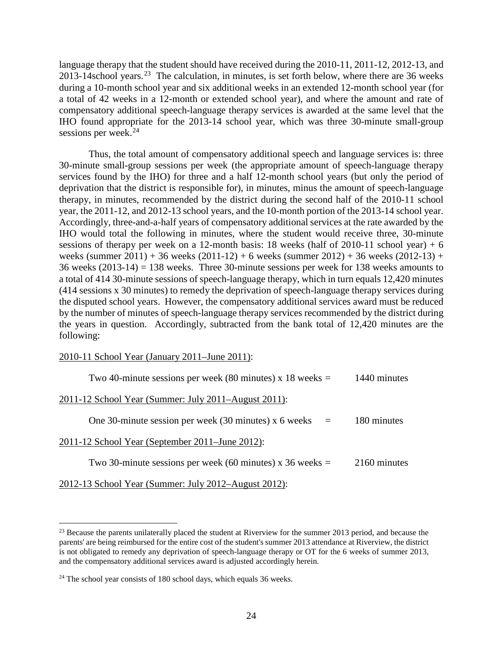language therapy that the student should have received during the 2010-11, 2011-12, 2012-13, and 2013-14school years.<sup>23</sup> The calculation, in minutes, is set forth below, where there are 36 weeks during a 10-month school year and six additional weeks in an extended 12-month school year (for a total of 42 weeks in a 12-month or extended school year), and where the amount and rate of compensatory additional speech-language therapy services is awarded at the same level that the IHO found appropriate for the 2013-14 school year, which was three 30-minute small-group sessions per week. $^{24}$ 

Thus, the total amount of compensatory additional speech and language services is: three 30-minute small-group sessions per week (the appropriate amount of speech-language therapy services found by the IHO) for three and a half 12-month school years (but only the period of deprivation that the district is responsible for), in minutes, minus the amount of speech-language therapy, in minutes, recommended by the district during the second half of the 2010-11 school year, the 2011-12, and 2012-13 school years, and the 10-month portion of the 2013-14 school year. Accordingly, three-and-a-half years of compensatory additional services at the rate awarded by the IHO would total the following in minutes, where the student would receive three, 30-minute sessions of therapy per week on a 12-month basis: 18 weeks (half of 2010-11 school year) + 6 weeks (summer 2011) + 36 weeks (2011-12) + 6 weeks (summer 2012) + 36 weeks (2012-13) + 36 weeks (2013-14) = 138 weeks. Three 30-minute sessions per week for 138 weeks amounts to a total of 414 30-minute sessions of speech-language therapy, which in turn equals 12,420 minutes (414 sessions x 30 minutes) to remedy the deprivation of speech-language therapy services during the disputed school years. However, the compensatory additional services award must be reduced by the number of minutes of speech-language therapy services recommended by the district during the years in question. Accordingly, subtracted from the bank total of 12,420 minutes are the following:

#### 2010-11 School Year (January 2011–June 2011):

| Two 40-minute sessions per week (80 minutes) x 18 weeks $=$       | 1440 minutes |
|-------------------------------------------------------------------|--------------|
| 2011-12 School Year (Summer: July 2011–August 2011):              |              |
| One 30-minute session per week (30 minutes) x 6 weeks<br>$\equiv$ | 180 minutes  |
| 2011-12 School Year (September 2011–June 2012):                   |              |
| Two 30-minute sessions per week (60 minutes) x 36 weeks $=$       | 2160 minutes |
| 2012-13 School Year (Summer: July 2012–August 2012):              |              |

<sup>&</sup>lt;sup>23</sup> Because the parents unilaterally placed the student at Riverview for the summer 2013 period, and because the parents' are being reimbursed for the entire cost of the student's summer 2013 attendance at Riverview, the district is not obligated to remedy any deprivation of speech-language therapy or OT for the 6 weeks of summer 2013, and the compensatory additional services award is adjusted accordingly herein.

 $24$  The school year consists of 180 school days, which equals 36 weeks.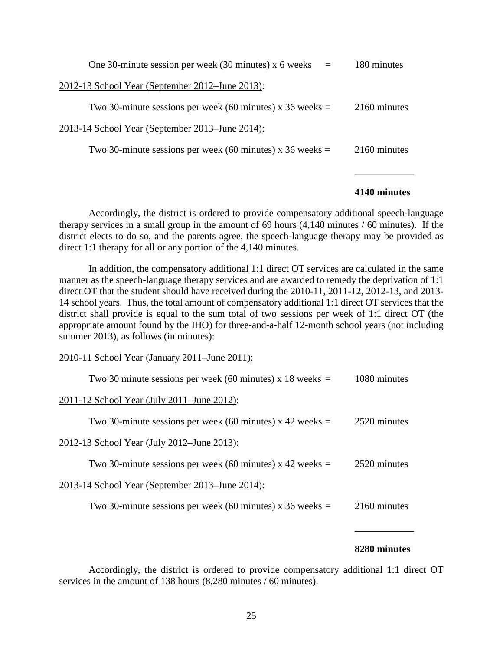| One 30-minute session per week (30 minutes) $x$ 6 weeks =   | 180 minutes  |
|-------------------------------------------------------------|--------------|
| 2012-13 School Year (September 2012–June 2013):             |              |
| Two 30-minute sessions per week (60 minutes) x 36 weeks $=$ | 2160 minutes |
| 2013-14 School Year (September 2013–June 2014):             |              |
| Two 30-minute sessions per week (60 minutes) x 36 weeks $=$ | 2160 minutes |
|                                                             |              |

#### **4140 minutes**

Accordingly, the district is ordered to provide compensatory additional speech-language therapy services in a small group in the amount of 69 hours (4,140 minutes / 60 minutes). If the district elects to do so, and the parents agree, the speech-language therapy may be provided as direct 1:1 therapy for all or any portion of the 4,140 minutes.

In addition, the compensatory additional 1:1 direct OT services are calculated in the same manner as the speech-language therapy services and are awarded to remedy the deprivation of 1:1 direct OT that the student should have received during the 2010-11, 2011-12, 2012-13, and 2013- 14 school years. Thus, the total amount of compensatory additional 1:1 direct OT services that the district shall provide is equal to the sum total of two sessions per week of 1:1 direct OT (the appropriate amount found by the IHO) for three-and-a-half 12-month school years (not including summer 2013), as follows (in minutes):

2010-11 School Year (January 2011–June 2011):

| Two 30 minute sessions per week (60 minutes) x 18 weeks $=$ | 1080 minutes |
|-------------------------------------------------------------|--------------|
| 2011-12 School Year (July 2011–June 2012):                  |              |
| Two 30-minute sessions per week (60 minutes) x 42 weeks $=$ | 2520 minutes |
| 2012-13 School Year (July 2012–June 2013):                  |              |
| Two 30-minute sessions per week (60 minutes) x 42 weeks $=$ | 2520 minutes |
| 2013-14 School Year (September 2013–June 2014):             |              |
| Two 30-minute sessions per week (60 minutes) x 36 weeks $=$ | 2160 minutes |
|                                                             |              |

#### **8280 minutes**

\_\_\_\_\_\_\_\_\_\_\_\_

Accordingly, the district is ordered to provide compensatory additional 1:1 direct OT services in the amount of 138 hours (8,280 minutes / 60 minutes).